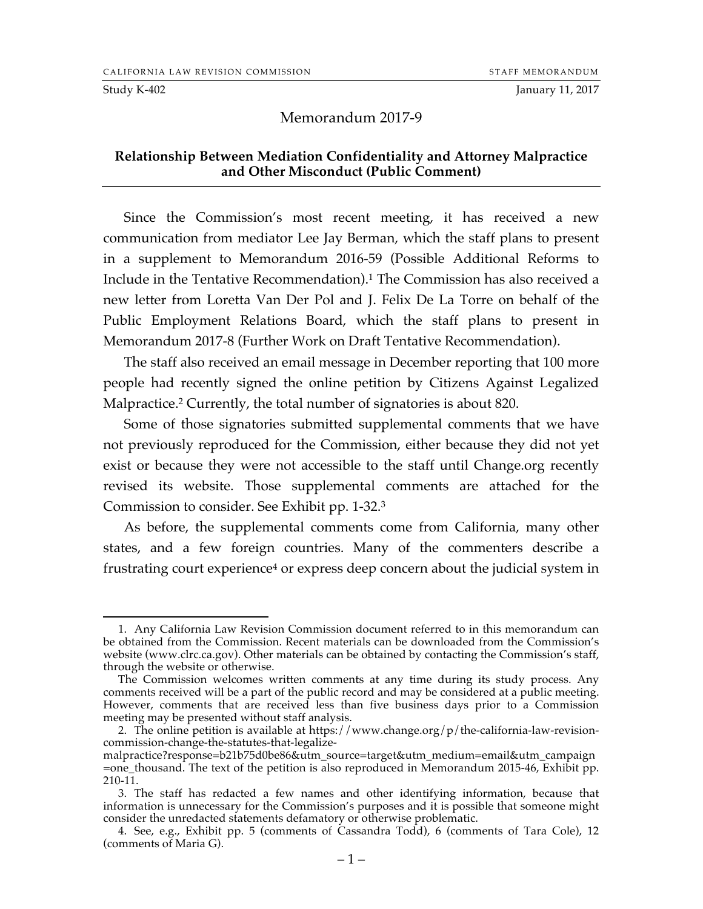Study K-402 January 11, 2017

#### Memorandum 2017-9

#### **Relationship Between Mediation Confidentiality and Attorney Malpractice and Other Misconduct (Public Comment)**

Since the Commission's most recent meeting, it has received a new communication from mediator Lee Jay Berman, which the staff plans to present in a supplement to Memorandum 2016-59 (Possible Additional Reforms to Include in the Tentative Recommendation).1 The Commission has also received a new letter from Loretta Van Der Pol and J. Felix De La Torre on behalf of the Public Employment Relations Board, which the staff plans to present in Memorandum 2017-8 (Further Work on Draft Tentative Recommendation).

The staff also received an email message in December reporting that 100 more people had recently signed the online petition by Citizens Against Legalized Malpractice.<sup>2</sup> Currently, the total number of signatories is about 820.

Some of those signatories submitted supplemental comments that we have not previously reproduced for the Commission, either because they did not yet exist or because they were not accessible to the staff until Change.org recently revised its website. Those supplemental comments are attached for the Commission to consider. See Exhibit pp. 1-32.3

As before, the supplemental comments come from California, many other states, and a few foreign countries. Many of the commenters describe a frustrating court experience4 or express deep concern about the judicial system in

 <sup>1.</sup> Any California Law Revision Commission document referred to in this memorandum can be obtained from the Commission. Recent materials can be downloaded from the Commission's website (www.clrc.ca.gov). Other materials can be obtained by contacting the Commission's staff, through the website or otherwise.

The Commission welcomes written comments at any time during its study process. Any comments received will be a part of the public record and may be considered at a public meeting. However, comments that are received less than five business days prior to a Commission meeting may be presented without staff analysis.

<sup>2.</sup> The online petition is available at https://www.change.org/p/the-california-law-revisioncommission-change-the-statutes-that-legalize-

malpractice?response=b21b75d0be86&utm\_source=target&utm\_medium=email&utm\_campaign =one\_thousand. The text of the petition is also reproduced in Memorandum 2015-46, Exhibit pp. 210-11.

<sup>3.</sup> The staff has redacted a few names and other identifying information, because that information is unnecessary for the Commission's purposes and it is possible that someone might consider the unredacted statements defamatory or otherwise problematic.

<sup>4.</sup> See, e.g., Exhibit pp. 5 (comments of Cassandra Todd), 6 (comments of Tara Cole), 12 (comments of Maria G).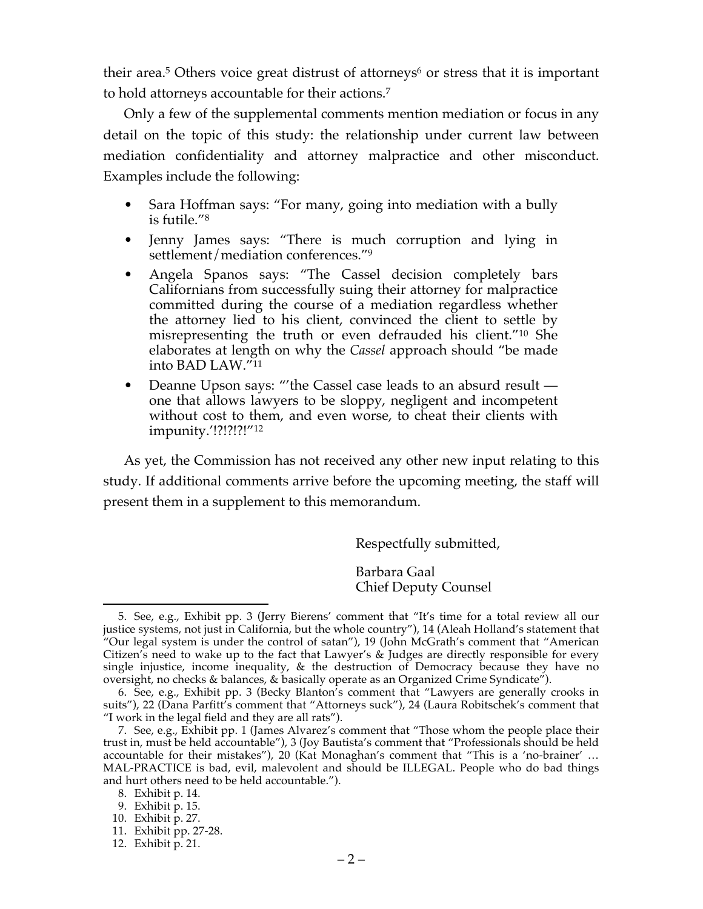their area.<sup>5</sup> Others voice great distrust of attorneys<sup>6</sup> or stress that it is important to hold attorneys accountable for their actions.7

Only a few of the supplemental comments mention mediation or focus in any detail on the topic of this study: the relationship under current law between mediation confidentiality and attorney malpractice and other misconduct. Examples include the following:

- Sara Hoffman says: "For many, going into mediation with a bully is futile."8
- Jenny James says: "There is much corruption and lying in settlement/mediation conferences."9
- Angela Spanos says: "The Cassel decision completely bars Californians from successfully suing their attorney for malpractice committed during the course of a mediation regardless whether the attorney lied to his client, convinced the client to settle by misrepresenting the truth or even defrauded his client."10 She elaborates at length on why the *Cassel* approach should "be made into BAD LAW."11
- Deanne Upson says: "'the Cassel case leads to an absurd result one that allows lawyers to be sloppy, negligent and incompetent without cost to them, and even worse, to cheat their clients with impunity.'!?!?!?!"12

As yet, the Commission has not received any other new input relating to this study. If additional comments arrive before the upcoming meeting, the staff will present them in a supplement to this memorandum.

Respectfully submitted,

Barbara Gaal Chief Deputy Counsel

 <sup>5.</sup> See, e.g., Exhibit pp. 3 (Jerry Bierens' comment that "It's time for a total review all our justice systems, not just in California, but the whole country"), 14 (Aleah Holland's statement that "Our legal system is under the control of satan"), 19 (John McGrath's comment that "American Citizen's need to wake up to the fact that Lawyer's & Judges are directly responsible for every single injustice, income inequality, & the destruction of Democracy because they have no oversight, no checks & balances, & basically operate as an Organized Crime Syndicate").

<sup>6.</sup> See, e.g., Exhibit pp. 3 (Becky Blanton's comment that "Lawyers are generally crooks in suits"), 22 (Dana Parfitt's comment that "Attorneys suck"), 24 (Laura Robitschek's comment that "I work in the legal field and they are all rats").

<sup>7.</sup> See, e.g., Exhibit pp. 1 (James Alvarez's comment that "Those whom the people place their trust in, must be held accountable"), 3 (Joy Bautista's comment that "Professionals should be held accountable for their mistakes"), 20 (Kat Monaghan's comment that "This is a 'no-brainer' … MAL-PRACTICE is bad, evil, malevolent and should be ILLEGAL. People who do bad things and hurt others need to be held accountable.").

<sup>8.</sup> Exhibit p. 14.

<sup>9.</sup> Exhibit p. 15.

<sup>10.</sup> Exhibit p. 27.

<sup>11.</sup> Exhibit pp. 27-28.

<sup>12.</sup> Exhibit p. 21.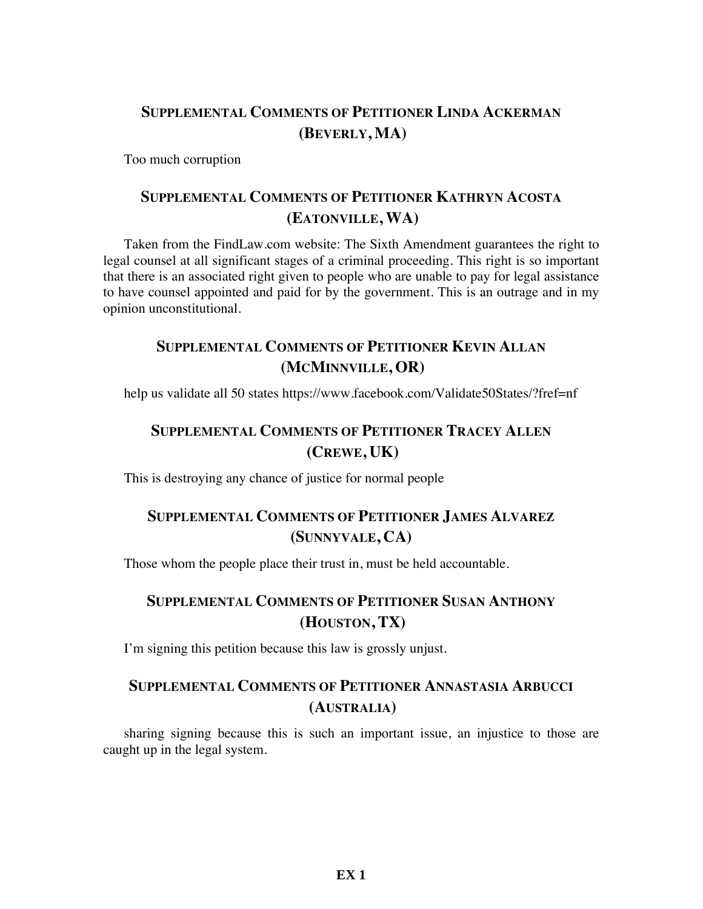# **SUPPLEMENTAL COMMENTS OF PETITIONER LINDA ACKERMAN (BEVERLY, MA)**

Too much corruption

### **SUPPLEMENTAL COMMENTS OF PETITIONER KATHRYN ACOSTA (EATONVILLE, WA)**

Taken from the FindLaw.com website: The Sixth Amendment guarantees the right to legal counsel at all significant stages of a criminal proceeding. This right is so important that there is an associated right given to people who are unable to pay for legal assistance to have counsel appointed and paid for by the government. This is an outrage and in my opinion unconstitutional.

# **SUPPLEMENTAL COMMENTS OF PETITIONER KEVIN ALLAN (MCMINNVILLE, OR)**

help us validate all 50 states https://www.facebook.com/Validate50States/?fref=nf

# **SUPPLEMENTAL COMMENTS OF PETITIONER TRACEY ALLEN (CREWE, UK)**

This is destroying any chance of justice for normal people

## **SUPPLEMENTAL COMMENTS OF PETITIONER JAMES ALVAREZ (SUNNYVALE, CA)**

Those whom the people place their trust in, must be held accountable.

# **SUPPLEMENTAL COMMENTS OF PETITIONER SUSAN ANTHONY (HOUSTON, TX)**

I'm signing this petition because this law is grossly unjust.

## **SUPPLEMENTAL COMMENTS OF PETITIONER ANNASTASIA ARBUCCI (AUSTRALIA)**

sharing signing because this is such an important issue, an injustice to those are caught up in the legal system.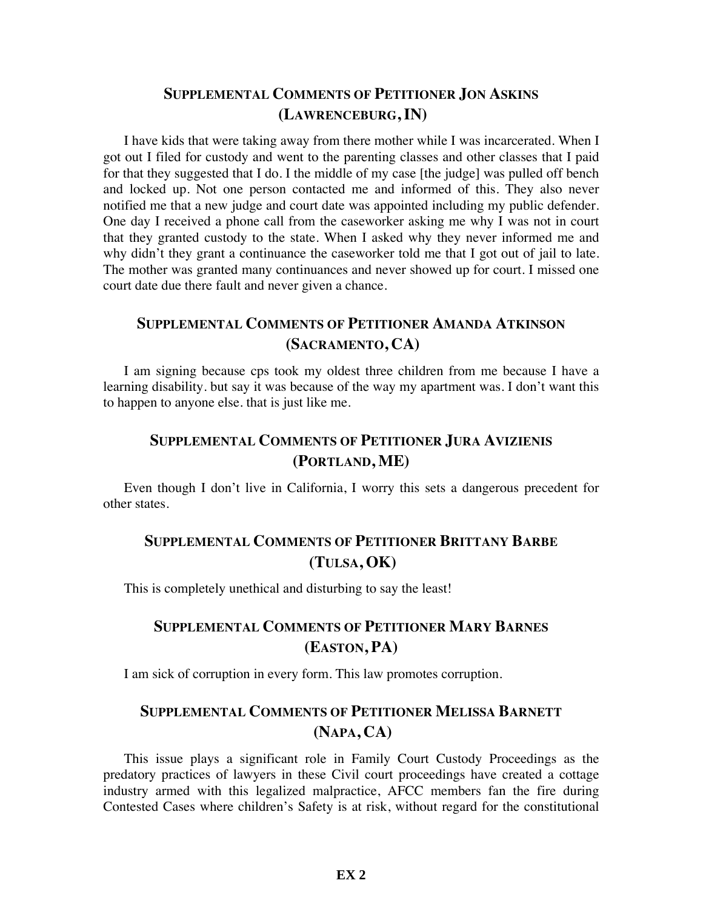#### **SUPPLEMENTAL COMMENTS OF PETITIONER JON ASKINS (LAWRENCEBURG, IN)**

I have kids that were taking away from there mother while I was incarcerated. When I got out I filed for custody and went to the parenting classes and other classes that I paid for that they suggested that I do. I the middle of my case [the judge] was pulled off bench and locked up. Not one person contacted me and informed of this. They also never notified me that a new judge and court date was appointed including my public defender. One day I received a phone call from the caseworker asking me why I was not in court that they granted custody to the state. When I asked why they never informed me and why didn't they grant a continuance the caseworker told me that I got out of jail to late. The mother was granted many continuances and never showed up for court. I missed one court date due there fault and never given a chance.

### **SUPPLEMENTAL COMMENTS OF PETITIONER AMANDA ATKINSON (SACRAMENTO, CA)**

I am signing because cps took my oldest three children from me because I have a learning disability. but say it was because of the way my apartment was. I don't want this to happen to anyone else. that is just like me.

### **SUPPLEMENTAL COMMENTS OF PETITIONER JURA AVIZIENIS (PORTLAND, ME)**

Even though I don't live in California, I worry this sets a dangerous precedent for other states.

# **SUPPLEMENTAL COMMENTS OF PETITIONER BRITTANY BARBE (TULSA, OK)**

This is completely unethical and disturbing to say the least!

## **SUPPLEMENTAL COMMENTS OF PETITIONER MARY BARNES (EASTON, PA)**

I am sick of corruption in every form. This law promotes corruption.

# **SUPPLEMENTAL COMMENTS OF PETITIONER MELISSA BARNETT (NAPA, CA)**

This issue plays a significant role in Family Court Custody Proceedings as the predatory practices of lawyers in these Civil court proceedings have created a cottage industry armed with this legalized malpractice, AFCC members fan the fire during Contested Cases where children's Safety is at risk, without regard for the constitutional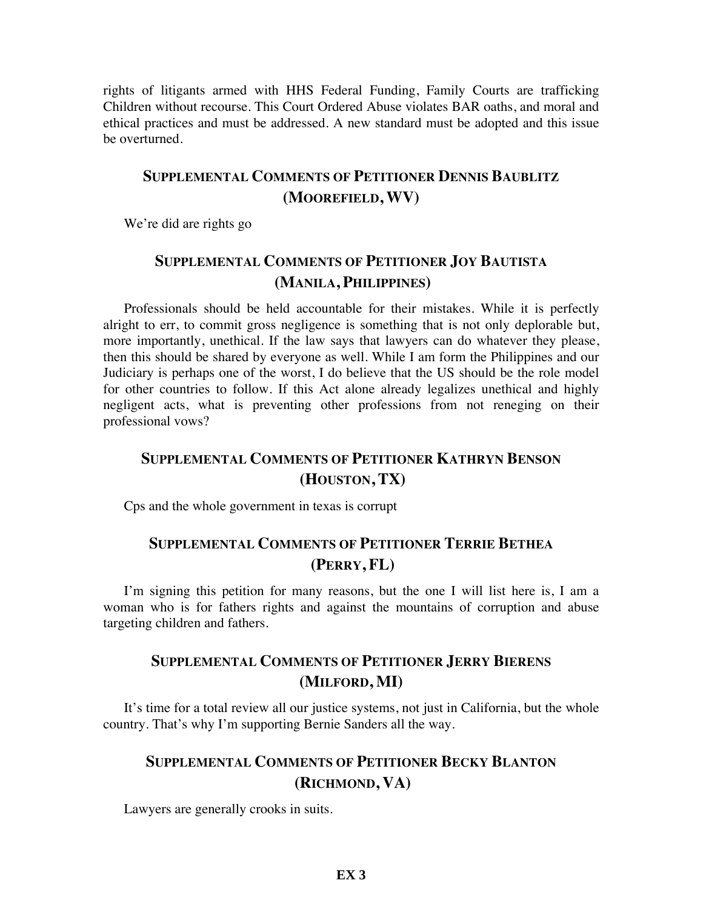rights of litigants armed with HHS Federal Funding, Family Courts are trafficking Children without recourse. This Court Ordered Abuse violates BAR oaths, and moral and ethical practices and must be addressed. A new standard must be adopted and this issue be overturned.

#### **SUPPLEMENTAL COMMENTS OF PETITIONER DENNIS BAUBLITZ (MOOREFIELD, WV)**

We're did are rights go

#### **SUPPLEMENTAL COMMENTS OF PETITIONER JOY BAUTISTA (MANILA, PHILIPPINES)**

Professionals should be held accountable for their mistakes. While it is perfectly alright to err, to commit gross negligence is something that is not only deplorable but, more importantly, unethical. If the law says that lawyers can do whatever they please, then this should be shared by everyone as well. While I am form the Philippines and our Judiciary is perhaps one of the worst, I do believe that the US should be the role model for other countries to follow. If this Act alone already legalizes unethical and highly negligent acts, what is preventing other professions from not reneging on their professional vows?

#### **SUPPLEMENTAL COMMENTS OF PETITIONER KATHRYN BENSON (HOUSTON, TX)**

Cps and the whole government in texas is corrupt

#### **SUPPLEMENTAL COMMENTS OF PETITIONER TERRIE BETHEA (PERRY, FL)**

I'm signing this petition for many reasons, but the one I will list here is, I am a woman who is for fathers rights and against the mountains of corruption and abuse targeting children and fathers.

#### **SUPPLEMENTAL COMMENTS OF PETITIONER JERRY BIERENS (MILFORD, MI)**

It's time for a total review all our justice systems, not just in California, but the whole country. That's why I'm supporting Bernie Sanders all the way.

#### **SUPPLEMENTAL COMMENTS OF PETITIONER BECKY BLANTON (RICHMOND, VA)**

Lawyers are generally crooks in suits.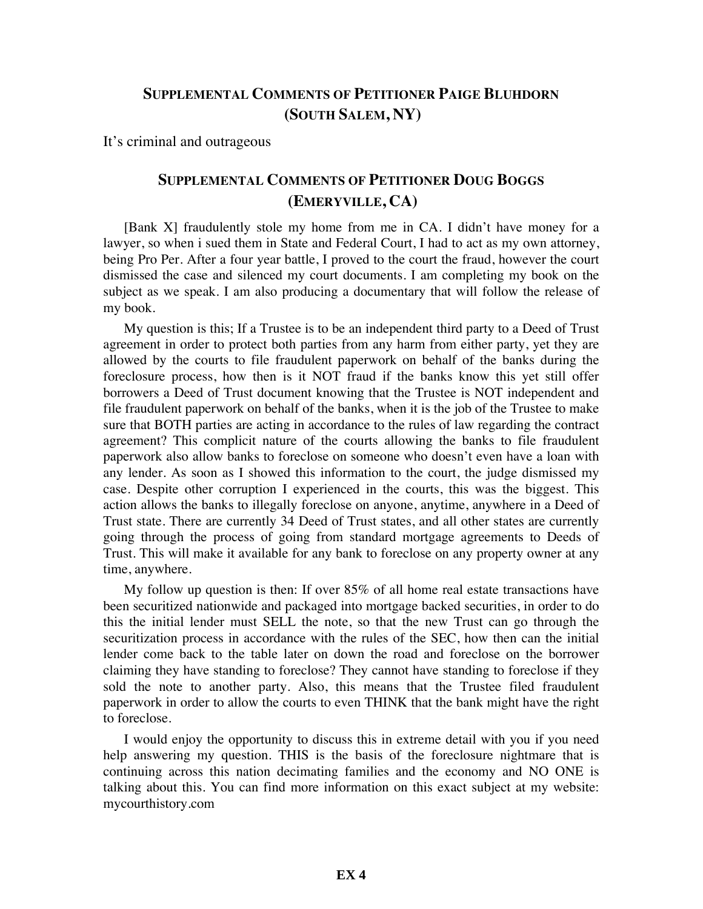#### **SUPPLEMENTAL COMMENTS OF PETITIONER PAIGE BLUHDORN (SOUTH SALEM, NY)**

It's criminal and outrageous

#### **SUPPLEMENTAL COMMENTS OF PETITIONER DOUG BOGGS (EMERYVILLE, CA)**

[Bank X] fraudulently stole my home from me in CA. I didn't have money for a lawyer, so when i sued them in State and Federal Court, I had to act as my own attorney, being Pro Per. After a four year battle, I proved to the court the fraud, however the court dismissed the case and silenced my court documents. I am completing my book on the subject as we speak. I am also producing a documentary that will follow the release of my book.

My question is this; If a Trustee is to be an independent third party to a Deed of Trust agreement in order to protect both parties from any harm from either party, yet they are allowed by the courts to file fraudulent paperwork on behalf of the banks during the foreclosure process, how then is it NOT fraud if the banks know this yet still offer borrowers a Deed of Trust document knowing that the Trustee is NOT independent and file fraudulent paperwork on behalf of the banks, when it is the job of the Trustee to make sure that BOTH parties are acting in accordance to the rules of law regarding the contract agreement? This complicit nature of the courts allowing the banks to file fraudulent paperwork also allow banks to foreclose on someone who doesn't even have a loan with any lender. As soon as I showed this information to the court, the judge dismissed my case. Despite other corruption I experienced in the courts, this was the biggest. This action allows the banks to illegally foreclose on anyone, anytime, anywhere in a Deed of Trust state. There are currently 34 Deed of Trust states, and all other states are currently going through the process of going from standard mortgage agreements to Deeds of Trust. This will make it available for any bank to foreclose on any property owner at any time, anywhere.

My follow up question is then: If over 85% of all home real estate transactions have been securitized nationwide and packaged into mortgage backed securities, in order to do this the initial lender must SELL the note, so that the new Trust can go through the securitization process in accordance with the rules of the SEC, how then can the initial lender come back to the table later on down the road and foreclose on the borrower claiming they have standing to foreclose? They cannot have standing to foreclose if they sold the note to another party. Also, this means that the Trustee filed fraudulent paperwork in order to allow the courts to even THINK that the bank might have the right to foreclose.

I would enjoy the opportunity to discuss this in extreme detail with you if you need help answering my question. THIS is the basis of the foreclosure nightmare that is continuing across this nation decimating families and the economy and NO ONE is talking about this. You can find more information on this exact subject at my website: mycourthistory.com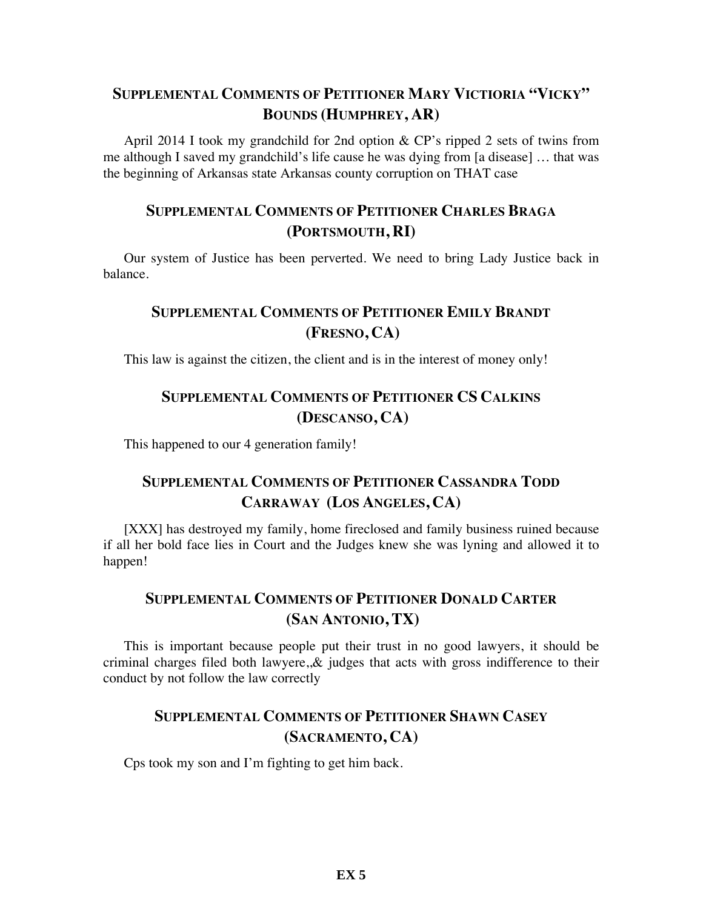# **SUPPLEMENTAL COMMENTS OF PETITIONER MARY VICTIORIA "VICKY" BOUNDS (HUMPHREY, AR)**

April 2014 I took my grandchild for 2nd option & CP's ripped 2 sets of twins from me although I saved my grandchild's life cause he was dying from [a disease] … that was the beginning of Arkansas state Arkansas county corruption on THAT case

### **SUPPLEMENTAL COMMENTS OF PETITIONER CHARLES BRAGA (PORTSMOUTH, RI)**

Our system of Justice has been perverted. We need to bring Lady Justice back in balance.

# **SUPPLEMENTAL COMMENTS OF PETITIONER EMILY BRANDT (FRESNO, CA)**

This law is against the citizen, the client and is in the interest of money only!

#### **SUPPLEMENTAL COMMENTS OF PETITIONER CS CALKINS (DESCANSO, CA)**

This happened to our 4 generation family!

## **SUPPLEMENTAL COMMENTS OF PETITIONER CASSANDRA TODD CARRAWAY (LOS ANGELES, CA)**

[XXX] has destroyed my family, home fireclosed and family business ruined because if all her bold face lies in Court and the Judges knew she was lyning and allowed it to happen!

## **SUPPLEMENTAL COMMENTS OF PETITIONER DONALD CARTER (SAN ANTONIO, TX)**

This is important because people put their trust in no good lawyers, it should be criminal charges filed both lawyere,  $\&$  judges that acts with gross indifference to their conduct by not follow the law correctly

#### **SUPPLEMENTAL COMMENTS OF PETITIONER SHAWN CASEY (SACRAMENTO, CA)**

Cps took my son and I'm fighting to get him back.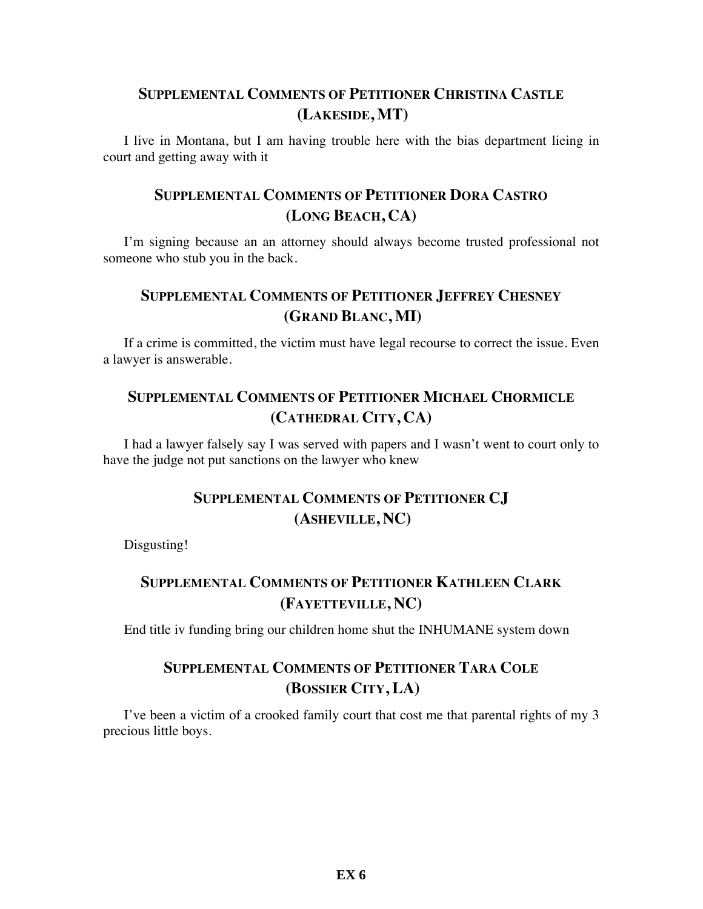#### **SUPPLEMENTAL COMMENTS OF PETITIONER CHRISTINA CASTLE (LAKESIDE, MT)**

I live in Montana, but I am having trouble here with the bias department lieing in court and getting away with it

### **SUPPLEMENTAL COMMENTS OF PETITIONER DORA CASTRO (LONG BEACH, CA)**

I'm signing because an an attorney should always become trusted professional not someone who stub you in the back.

### **SUPPLEMENTAL COMMENTS OF PETITIONER JEFFREY CHESNEY (GRAND BLANC, MI)**

If a crime is committed, the victim must have legal recourse to correct the issue. Even a lawyer is answerable.

#### **SUPPLEMENTAL COMMENTS OF PETITIONER MICHAEL CHORMICLE (CATHEDRAL CITY, CA)**

I had a lawyer falsely say I was served with papers and I wasn't went to court only to have the judge not put sanctions on the lawyer who knew

# **SUPPLEMENTAL COMMENTS OF PETITIONER CJ (ASHEVILLE, NC)**

Disgusting!

# **SUPPLEMENTAL COMMENTS OF PETITIONER KATHLEEN CLARK (FAYETTEVILLE, NC)**

End title iv funding bring our children home shut the INHUMANE system down

# **SUPPLEMENTAL COMMENTS OF PETITIONER TARA COLE (BOSSIER CITY, LA)**

I've been a victim of a crooked family court that cost me that parental rights of my 3 precious little boys.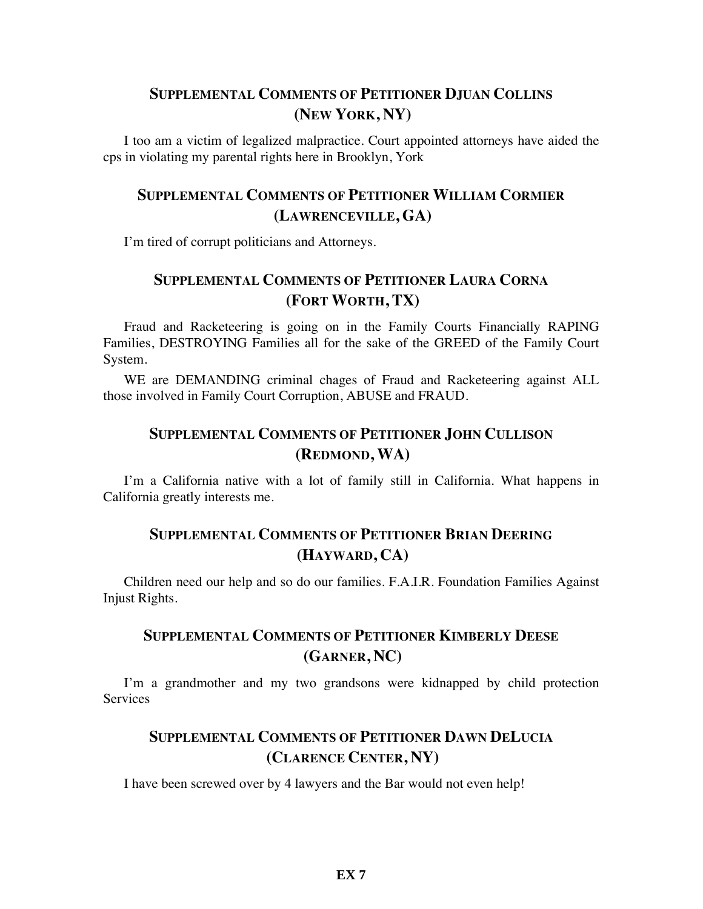#### **SUPPLEMENTAL COMMENTS OF PETITIONER DJUAN COLLINS (NEW YORK, NY)**

I too am a victim of legalized malpractice. Court appointed attorneys have aided the cps in violating my parental rights here in Brooklyn, York

# **SUPPLEMENTAL COMMENTS OF PETITIONER WILLIAM CORMIER (LAWRENCEVILLE, GA)**

I'm tired of corrupt politicians and Attorneys.

### **SUPPLEMENTAL COMMENTS OF PETITIONER LAURA CORNA (FORT WORTH, TX)**

Fraud and Racketeering is going on in the Family Courts Financially RAPING Families, DESTROYING Families all for the sake of the GREED of the Family Court System.

WE are DEMANDING criminal chages of Fraud and Racketeering against ALL those involved in Family Court Corruption, ABUSE and FRAUD.

#### **SUPPLEMENTAL COMMENTS OF PETITIONER JOHN CULLISON (REDMOND, WA)**

I'm a California native with a lot of family still in California. What happens in California greatly interests me.

## **SUPPLEMENTAL COMMENTS OF PETITIONER BRIAN DEERING (HAYWARD, CA)**

Children need our help and so do our families. F.A.I.R. Foundation Families Against Injust Rights.

# **SUPPLEMENTAL COMMENTS OF PETITIONER KIMBERLY DEESE (GARNER, NC)**

I'm a grandmother and my two grandsons were kidnapped by child protection **Services** 

# **SUPPLEMENTAL COMMENTS OF PETITIONER DAWN DELUCIA (CLARENCE CENTER, NY)**

I have been screwed over by 4 lawyers and the Bar would not even help!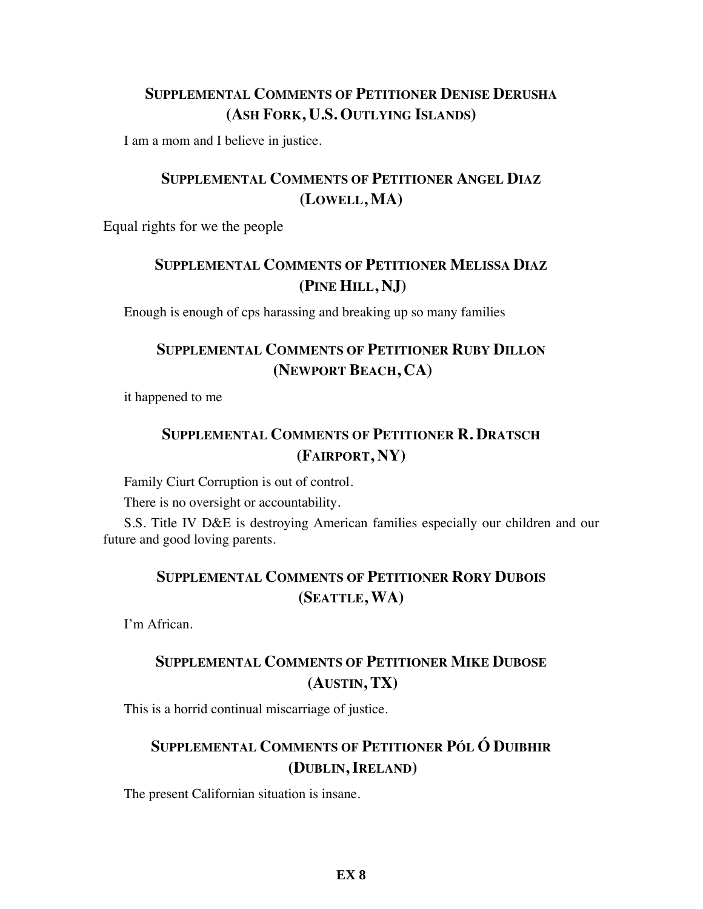# **SUPPLEMENTAL COMMENTS OF PETITIONER DENISE DERUSHA (ASH FORK, U.S. OUTLYING ISLANDS)**

I am a mom and I believe in justice.

# **SUPPLEMENTAL COMMENTS OF PETITIONER ANGEL DIAZ (LOWELL, MA)**

Equal rights for we the people

# **SUPPLEMENTAL COMMENTS OF PETITIONER MELISSA DIAZ (PINE HILL, NJ)**

Enough is enough of cps harassing and breaking up so many families

## **SUPPLEMENTAL COMMENTS OF PETITIONER RUBY DILLON (NEWPORT BEACH, CA)**

it happened to me

# **SUPPLEMENTAL COMMENTS OF PETITIONER R. DRATSCH (FAIRPORT, NY)**

Family Ciurt Corruption is out of control.

There is no oversight or accountability.

S.S. Title IV D&E is destroying American families especially our children and our future and good loving parents.

## **SUPPLEMENTAL COMMENTS OF PETITIONER RORY DUBOIS (SEATTLE, WA)**

I'm African.

# **SUPPLEMENTAL COMMENTS OF PETITIONER MIKE DUBOSE (AUSTIN, TX)**

This is a horrid continual miscarriage of justice.

# **SUPPLEMENTAL COMMENTS OF PETITIONER PÓL Ó DUIBHIR (DUBLIN, IRELAND)**

The present Californian situation is insane.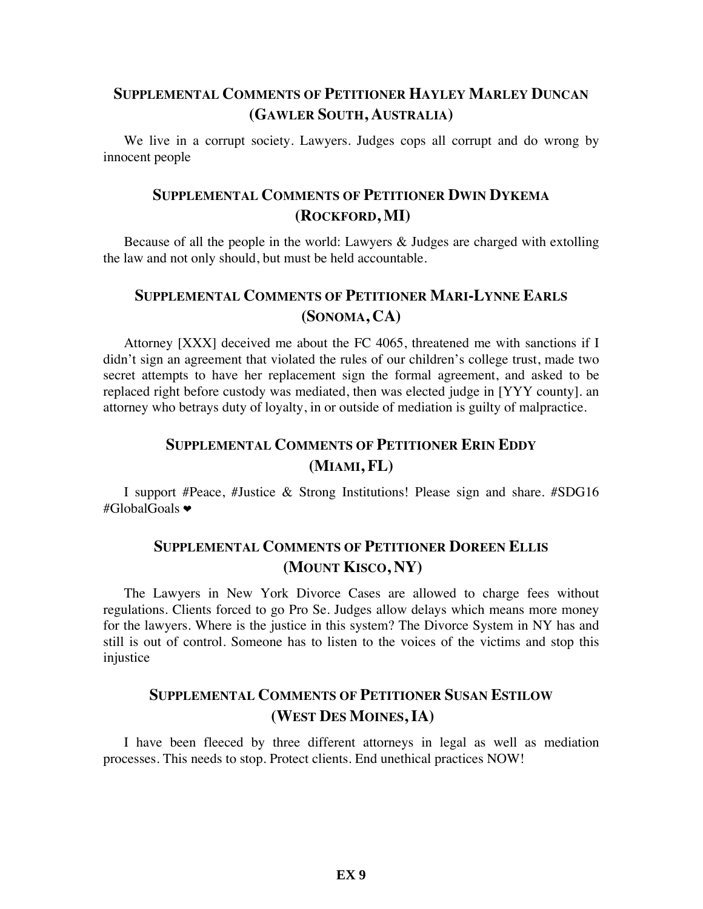### **SUPPLEMENTAL COMMENTS OF PETITIONER HAYLEY MARLEY DUNCAN (GAWLER SOUTH, AUSTRALIA)**

We live in a corrupt society. Lawyers. Judges cops all corrupt and do wrong by innocent people

#### **SUPPLEMENTAL COMMENTS OF PETITIONER DWIN DYKEMA (ROCKFORD, MI)**

Because of all the people in the world: Lawyers  $\&$  Judges are charged with extolling the law and not only should, but must be held accountable.

#### **SUPPLEMENTAL COMMENTS OF PETITIONER MARI-LYNNE EARLS (SONOMA, CA)**

Attorney [XXX] deceived me about the FC 4065, threatened me with sanctions if I didn't sign an agreement that violated the rules of our children's college trust, made two secret attempts to have her replacement sign the formal agreement, and asked to be replaced right before custody was mediated, then was elected judge in [YYY county]. an attorney who betrays duty of loyalty, in or outside of mediation is guilty of malpractice.

# **SUPPLEMENTAL COMMENTS OF PETITIONER ERIN EDDY (MIAMI, FL)**

I support #Peace, #Justice & Strong Institutions! Please sign and share. #SDG16 #GlobalGoals **❤**

#### **SUPPLEMENTAL COMMENTS OF PETITIONER DOREEN ELLIS (MOUNT KISCO, NY)**

The Lawyers in New York Divorce Cases are allowed to charge fees without regulations. Clients forced to go Pro Se. Judges allow delays which means more money for the lawyers. Where is the justice in this system? The Divorce System in NY has and still is out of control. Someone has to listen to the voices of the victims and stop this injustice

#### **SUPPLEMENTAL COMMENTS OF PETITIONER SUSAN ESTILOW (WEST DES MOINES, IA)**

I have been fleeced by three different attorneys in legal as well as mediation processes. This needs to stop. Protect clients. End unethical practices NOW!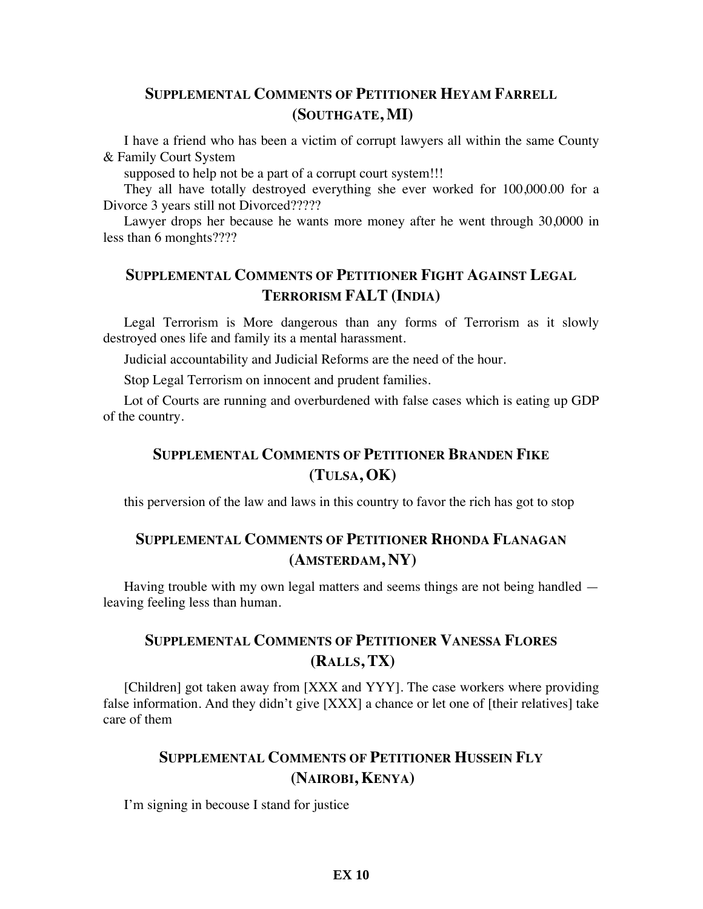#### **SUPPLEMENTAL COMMENTS OF PETITIONER HEYAM FARRELL (SOUTHGATE, MI)**

I have a friend who has been a victim of corrupt lawyers all within the same County & Family Court System

supposed to help not be a part of a corrupt court system!!!

They all have totally destroyed everything she ever worked for 100,000.00 for a Divorce 3 years still not Divorced?????

Lawyer drops her because he wants more money after he went through 30,0000 in less than 6 monghts????

### **SUPPLEMENTAL COMMENTS OF PETITIONER FIGHT AGAINST LEGAL TERRORISM FALT (INDIA)**

Legal Terrorism is More dangerous than any forms of Terrorism as it slowly destroyed ones life and family its a mental harassment.

Judicial accountability and Judicial Reforms are the need of the hour.

Stop Legal Terrorism on innocent and prudent families.

Lot of Courts are running and overburdened with false cases which is eating up GDP of the country.

### **SUPPLEMENTAL COMMENTS OF PETITIONER BRANDEN FIKE (TULSA, OK)**

this perversion of the law and laws in this country to favor the rich has got to stop

# **SUPPLEMENTAL COMMENTS OF PETITIONER RHONDA FLANAGAN (AMSTERDAM, NY)**

Having trouble with my own legal matters and seems things are not being handled leaving feeling less than human.

### **SUPPLEMENTAL COMMENTS OF PETITIONER VANESSA FLORES (RALLS, TX)**

[Children] got taken away from [XXX and YYY]. The case workers where providing false information. And they didn't give [XXX] a chance or let one of [their relatives] take care of them

### **SUPPLEMENTAL COMMENTS OF PETITIONER HUSSEIN FLY (NAIROBI, KENYA)**

I'm signing in becouse I stand for justice

#### **EX 10**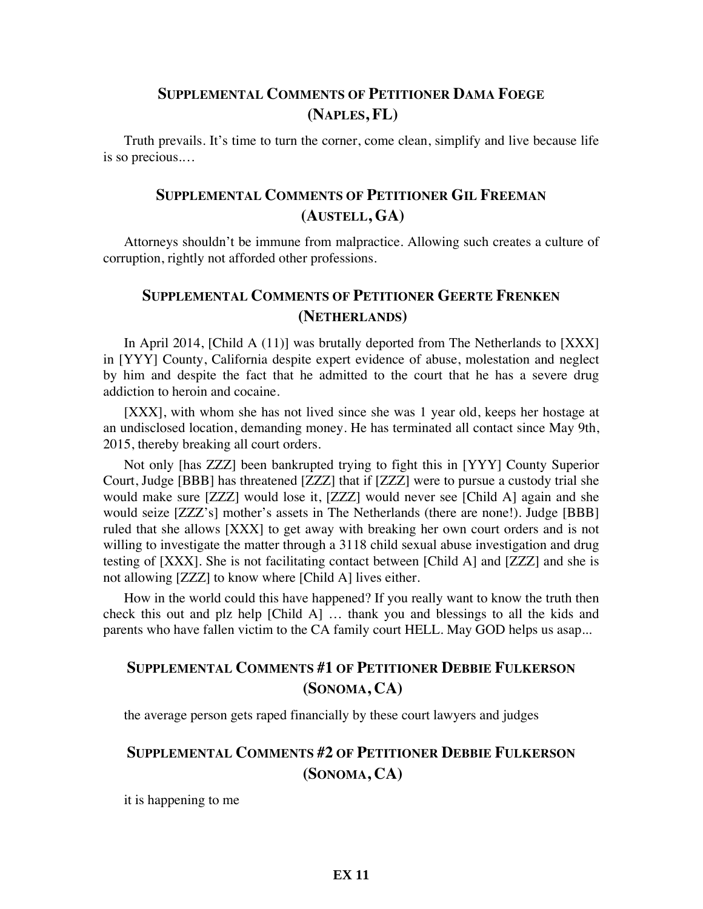#### **SUPPLEMENTAL COMMENTS OF PETITIONER DAMA FOEGE (NAPLES, FL)**

Truth prevails. It's time to turn the corner, come clean, simplify and live because life is so precious.…

### **SUPPLEMENTAL COMMENTS OF PETITIONER GIL FREEMAN (AUSTELL, GA)**

Attorneys shouldn't be immune from malpractice. Allowing such creates a culture of corruption, rightly not afforded other professions.

#### **SUPPLEMENTAL COMMENTS OF PETITIONER GEERTE FRENKEN (NETHERLANDS)**

In April 2014, [Child A (11)] was brutally deported from The Netherlands to [XXX] in [YYY] County, California despite expert evidence of abuse, molestation and neglect by him and despite the fact that he admitted to the court that he has a severe drug addiction to heroin and cocaine.

[XXX], with whom she has not lived since she was 1 year old, keeps her hostage at an undisclosed location, demanding money. He has terminated all contact since May 9th, 2015, thereby breaking all court orders.

Not only [has ZZZ] been bankrupted trying to fight this in [YYY] County Superior Court, Judge [BBB] has threatened [ZZZ] that if [ZZZ] were to pursue a custody trial she would make sure [ZZZ] would lose it, [ZZZ] would never see [Child A] again and she would seize [ZZZ's] mother's assets in The Netherlands (there are none!). Judge [BBB] ruled that she allows [XXX] to get away with breaking her own court orders and is not willing to investigate the matter through a 3118 child sexual abuse investigation and drug testing of [XXX]. She is not facilitating contact between [Child A] and [ZZZ] and she is not allowing [ZZZ] to know where [Child A] lives either.

How in the world could this have happened? If you really want to know the truth then check this out and plz help [Child A] … thank you and blessings to all the kids and parents who have fallen victim to the CA family court HELL. May GOD helps us asap...

### **SUPPLEMENTAL COMMENTS #1 OF PETITIONER DEBBIE FULKERSON (SONOMA, CA)**

the average person gets raped financially by these court lawyers and judges

# **SUPPLEMENTAL COMMENTS #2 OF PETITIONER DEBBIE FULKERSON (SONOMA, CA)**

it is happening to me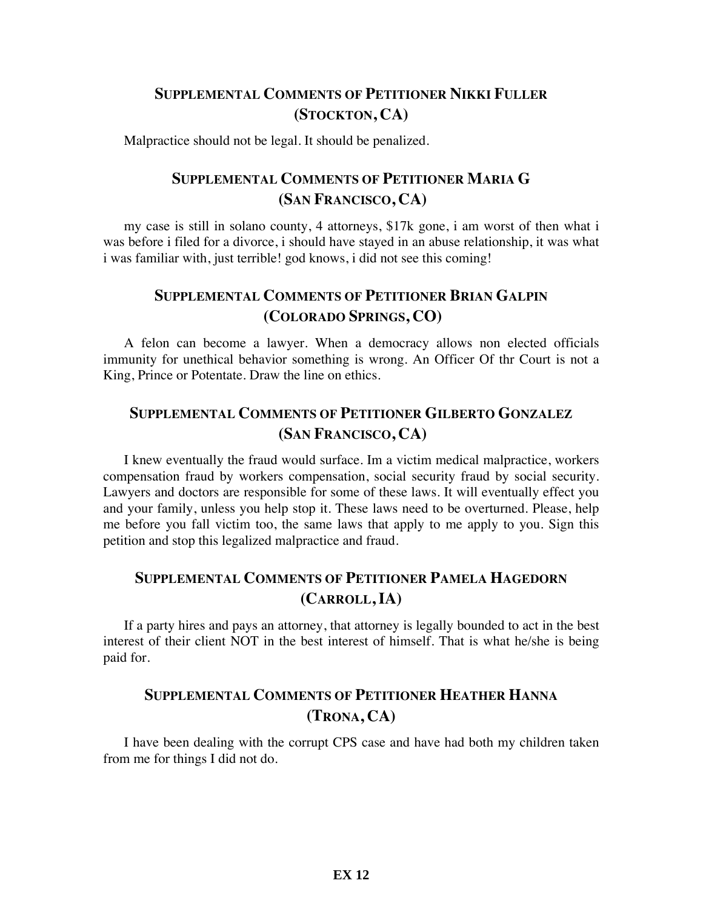#### **SUPPLEMENTAL COMMENTS OF PETITIONER NIKKI FULLER (STOCKTON, CA)**

Malpractice should not be legal. It should be penalized.

# **SUPPLEMENTAL COMMENTS OF PETITIONER MARIA G (SAN FRANCISCO, CA)**

my case is still in solano county, 4 attorneys, \$17k gone, i am worst of then what i was before i filed for a divorce, i should have stayed in an abuse relationship, it was what i was familiar with, just terrible! god knows, i did not see this coming!

### **SUPPLEMENTAL COMMENTS OF PETITIONER BRIAN GALPIN (COLORADO SPRINGS, CO)**

A felon can become a lawyer. When a democracy allows non elected officials immunity for unethical behavior something is wrong. An Officer Of thr Court is not a King, Prince or Potentate. Draw the line on ethics.

#### **SUPPLEMENTAL COMMENTS OF PETITIONER GILBERTO GONZALEZ (SAN FRANCISCO, CA)**

I knew eventually the fraud would surface. Im a victim medical malpractice, workers compensation fraud by workers compensation, social security fraud by social security. Lawyers and doctors are responsible for some of these laws. It will eventually effect you and your family, unless you help stop it. These laws need to be overturned. Please, help me before you fall victim too, the same laws that apply to me apply to you. Sign this petition and stop this legalized malpractice and fraud.

### **SUPPLEMENTAL COMMENTS OF PETITIONER PAMELA HAGEDORN (CARROLL, IA)**

If a party hires and pays an attorney, that attorney is legally bounded to act in the best interest of their client NOT in the best interest of himself. That is what he/she is being paid for.

#### **SUPPLEMENTAL COMMENTS OF PETITIONER HEATHER HANNA (TRONA, CA)**

I have been dealing with the corrupt CPS case and have had both my children taken from me for things I did not do.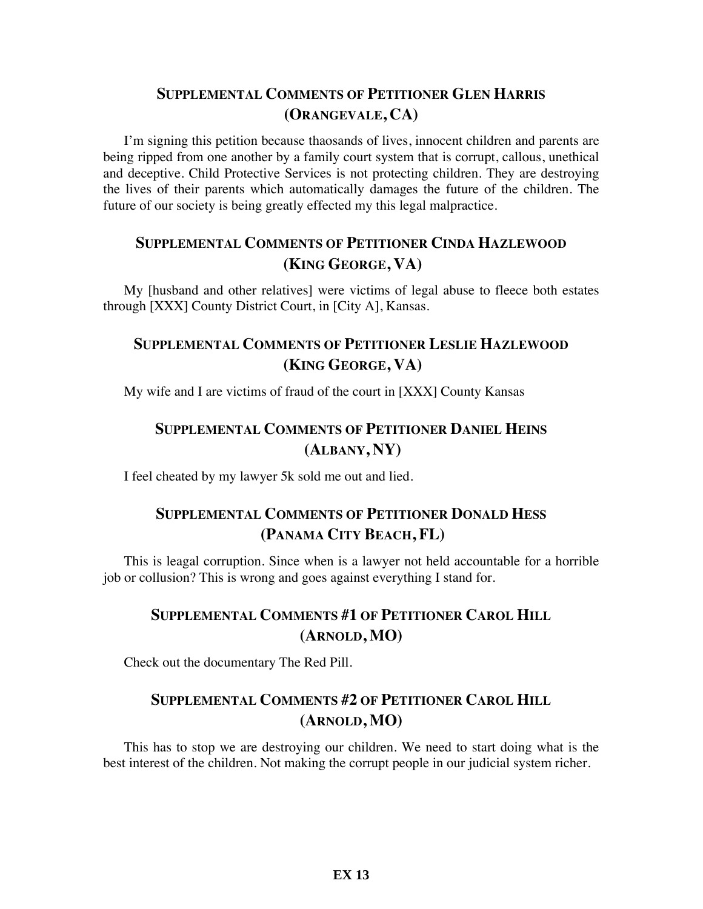# **SUPPLEMENTAL COMMENTS OF PETITIONER GLEN HARRIS (ORANGEVALE, CA)**

I'm signing this petition because thaosands of lives, innocent children and parents are being ripped from one another by a family court system that is corrupt, callous, unethical and deceptive. Child Protective Services is not protecting children. They are destroying the lives of their parents which automatically damages the future of the children. The future of our society is being greatly effected my this legal malpractice.

#### **SUPPLEMENTAL COMMENTS OF PETITIONER CINDA HAZLEWOOD (KING GEORGE, VA)**

My [husband and other relatives] were victims of legal abuse to fleece both estates through [XXX] County District Court, in [City A], Kansas.

#### **SUPPLEMENTAL COMMENTS OF PETITIONER LESLIE HAZLEWOOD (KING GEORGE, VA)**

My wife and I are victims of fraud of the court in [XXX] County Kansas

# **SUPPLEMENTAL COMMENTS OF PETITIONER DANIEL HEINS (ALBANY, NY)**

I feel cheated by my lawyer 5k sold me out and lied.

# **SUPPLEMENTAL COMMENTS OF PETITIONER DONALD HESS (PANAMA CITY BEACH, FL)**

This is leagal corruption. Since when is a lawyer not held accountable for a horrible job or collusion? This is wrong and goes against everything I stand for.

# **SUPPLEMENTAL COMMENTS #1 OF PETITIONER CAROL HILL (ARNOLD, MO)**

Check out the documentary The Red Pill.

#### **SUPPLEMENTAL COMMENTS #2 OF PETITIONER CAROL HILL (ARNOLD, MO)**

This has to stop we are destroying our children. We need to start doing what is the best interest of the children. Not making the corrupt people in our judicial system richer.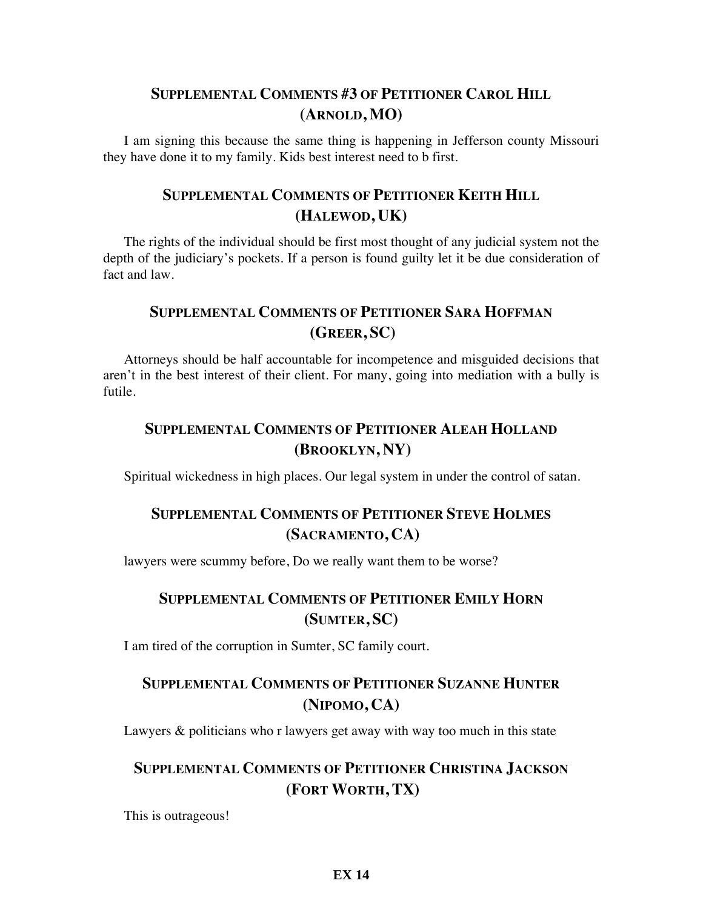### **SUPPLEMENTAL COMMENTS #3 OF PETITIONER CAROL HILL (ARNOLD, MO)**

I am signing this because the same thing is happening in Jefferson county Missouri they have done it to my family. Kids best interest need to b first.

### **SUPPLEMENTAL COMMENTS OF PETITIONER KEITH HILL (HALEWOD, UK)**

The rights of the individual should be first most thought of any judicial system not the depth of the judiciary's pockets. If a person is found guilty let it be due consideration of fact and law.

# **SUPPLEMENTAL COMMENTS OF PETITIONER SARA HOFFMAN (GREER, SC)**

Attorneys should be half accountable for incompetence and misguided decisions that aren't in the best interest of their client. For many, going into mediation with a bully is futile.

# **SUPPLEMENTAL COMMENTS OF PETITIONER ALEAH HOLLAND (BROOKLYN, NY)**

Spiritual wickedness in high places. Our legal system in under the control of satan.

# **SUPPLEMENTAL COMMENTS OF PETITIONER STEVE HOLMES (SACRAMENTO, CA)**

lawyers were scummy before, Do we really want them to be worse?

## **SUPPLEMENTAL COMMENTS OF PETITIONER EMILY HORN (SUMTER, SC)**

I am tired of the corruption in Sumter, SC family court.

# **SUPPLEMENTAL COMMENTS OF PETITIONER SUZANNE HUNTER (NIPOMO, CA)**

Lawyers & politicians who r lawyers get away with way too much in this state

## **SUPPLEMENTAL COMMENTS OF PETITIONER CHRISTINA JACKSON (FORT WORTH, TX)**

This is outrageous!

#### **EX 14**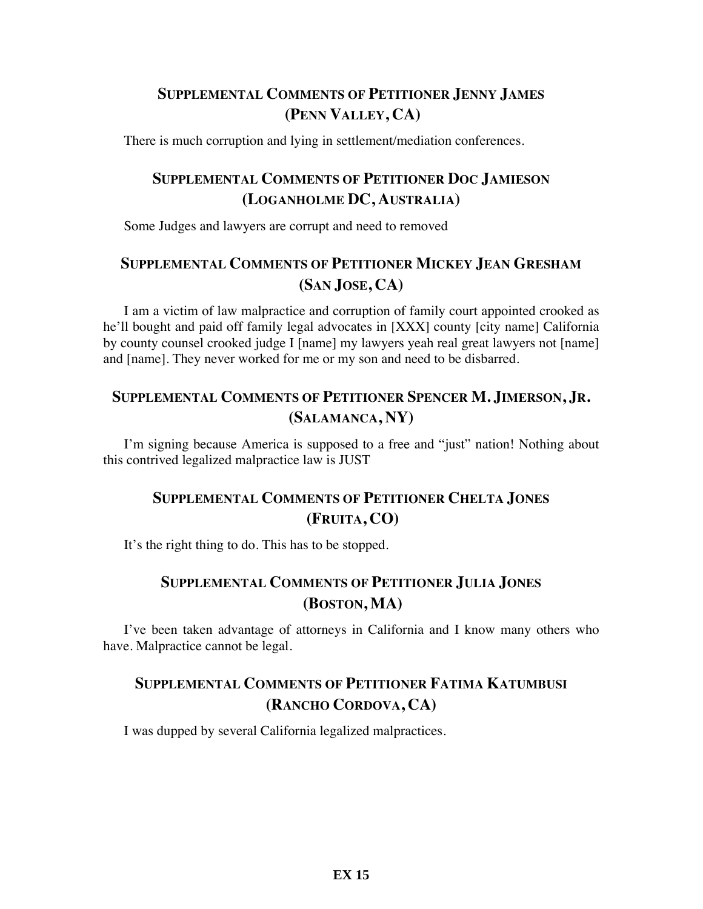# **SUPPLEMENTAL COMMENTS OF PETITIONER JENNY JAMES (PENN VALLEY, CA)**

There is much corruption and lying in settlement/mediation conferences.

# **SUPPLEMENTAL COMMENTS OF PETITIONER DOC JAMIESON (LOGANHOLME DC, AUSTRALIA)**

Some Judges and lawyers are corrupt and need to removed

# **SUPPLEMENTAL COMMENTS OF PETITIONER MICKEY JEAN GRESHAM (SAN JOSE, CA)**

I am a victim of law malpractice and corruption of family court appointed crooked as he'll bought and paid off family legal advocates in [XXX] county [city name] California by county counsel crooked judge I [name] my lawyers yeah real great lawyers not [name] and [name]. They never worked for me or my son and need to be disbarred.

#### **SUPPLEMENTAL COMMENTS OF PETITIONER SPENCER M. JIMERSON, JR. (SALAMANCA, NY)**

I'm signing because America is supposed to a free and "just" nation! Nothing about this contrived legalized malpractice law is JUST

# **SUPPLEMENTAL COMMENTS OF PETITIONER CHELTA JONES (FRUITA, CO)**

It's the right thing to do. This has to be stopped.

## **SUPPLEMENTAL COMMENTS OF PETITIONER JULIA JONES (BOSTON, MA)**

I've been taken advantage of attorneys in California and I know many others who have. Malpractice cannot be legal.

# **SUPPLEMENTAL COMMENTS OF PETITIONER FATIMA KATUMBUSI (RANCHO CORDOVA, CA)**

I was dupped by several California legalized malpractices.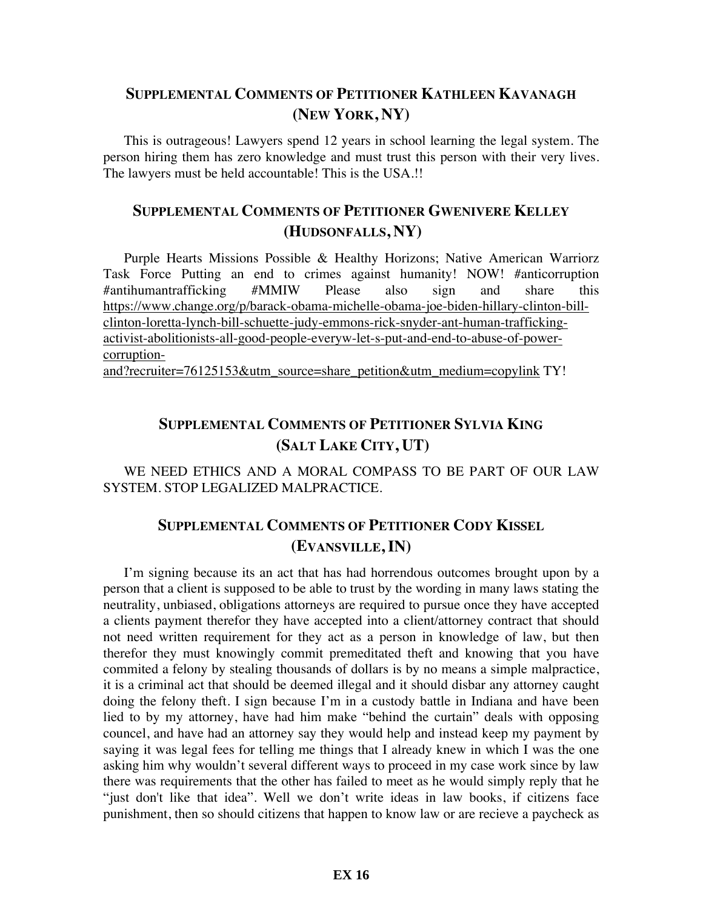#### **SUPPLEMENTAL COMMENTS OF PETITIONER KATHLEEN KAVANAGH (NEW YORK, NY)**

This is outrageous! Lawyers spend 12 years in school learning the legal system. The person hiring them has zero knowledge and must trust this person with their very lives. The lawyers must be held accountable! This is the USA.!!

# **SUPPLEMENTAL COMMENTS OF PETITIONER GWENIVERE KELLEY (HUDSONFALLS, NY)**

Purple Hearts Missions Possible & Healthy Horizons; Native American Warriorz Task Force Putting an end to crimes against humanity! NOW! #anticorruption #antihumantrafficking #MMIW Please also sign and share this https://www.change.org/p/barack-obama-michelle-obama-joe-biden-hillary-clinton-billclinton-loretta-lynch-bill-schuette-judy-emmons-rick-snyder-ant-human-traffickingactivist-abolitionists-all-good-people-everyw-let-s-put-and-end-to-abuse-of-powercorruptionand?recruiter=76125153&utm\_source=share\_petition&utm\_medium=copylink TY!

# **SUPPLEMENTAL COMMENTS OF PETITIONER SYLVIA KING (SALT LAKE CITY, UT)**

WE NEED ETHICS AND A MORAL COMPASS TO BE PART OF OUR LAW SYSTEM. STOP LEGALIZED MALPRACTICE.

# **SUPPLEMENTAL COMMENTS OF PETITIONER CODY KISSEL (EVANSVILLE, IN)**

I'm signing because its an act that has had horrendous outcomes brought upon by a person that a client is supposed to be able to trust by the wording in many laws stating the neutrality, unbiased, obligations attorneys are required to pursue once they have accepted a clients payment therefor they have accepted into a client/attorney contract that should not need written requirement for they act as a person in knowledge of law, but then therefor they must knowingly commit premeditated theft and knowing that you have commited a felony by stealing thousands of dollars is by no means a simple malpractice, it is a criminal act that should be deemed illegal and it should disbar any attorney caught doing the felony theft. I sign because I'm in a custody battle in Indiana and have been lied to by my attorney, have had him make "behind the curtain" deals with opposing councel, and have had an attorney say they would help and instead keep my payment by saying it was legal fees for telling me things that I already knew in which I was the one asking him why wouldn't several different ways to proceed in my case work since by law there was requirements that the other has failed to meet as he would simply reply that he "just don't like that idea". Well we don't write ideas in law books, if citizens face punishment, then so should citizens that happen to know law or are recieve a paycheck as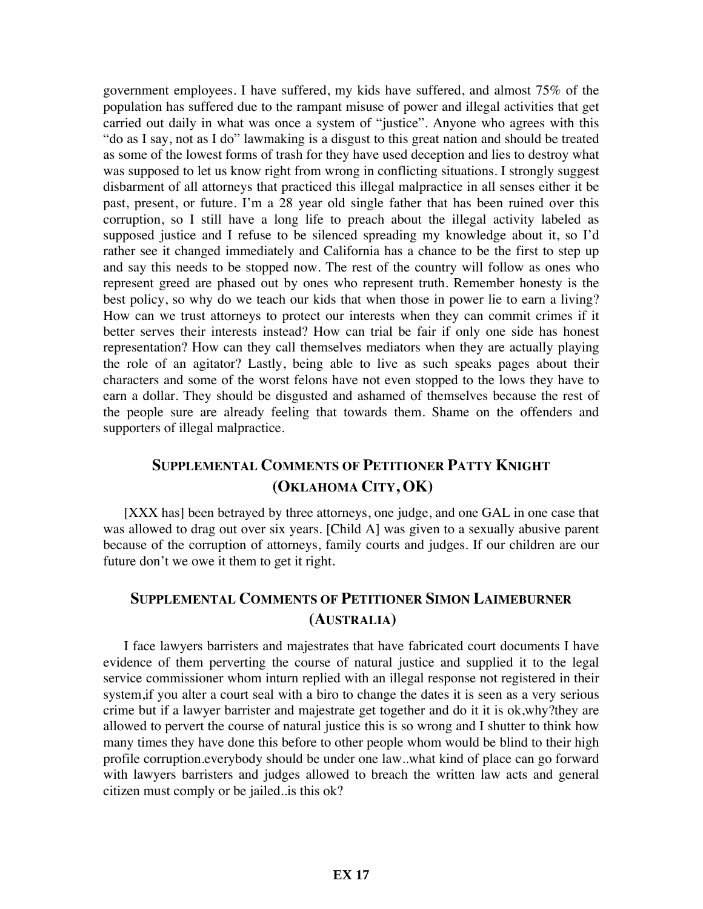government employees. I have suffered, my kids have suffered, and almost 75% of the population has suffered due to the rampant misuse of power and illegal activities that get carried out daily in what was once a system of "justice". Anyone who agrees with this "do as I say, not as I do" lawmaking is a disgust to this great nation and should be treated as some of the lowest forms of trash for they have used deception and lies to destroy what was supposed to let us know right from wrong in conflicting situations. I strongly suggest disbarment of all attorneys that practiced this illegal malpractice in all senses either it be past, present, or future. I'm a 28 year old single father that has been ruined over this corruption, so I still have a long life to preach about the illegal activity labeled as supposed justice and I refuse to be silenced spreading my knowledge about it, so I'd rather see it changed immediately and California has a chance to be the first to step up and say this needs to be stopped now. The rest of the country will follow as ones who represent greed are phased out by ones who represent truth. Remember honesty is the best policy, so why do we teach our kids that when those in power lie to earn a living? How can we trust attorneys to protect our interests when they can commit crimes if it better serves their interests instead? How can trial be fair if only one side has honest representation? How can they call themselves mediators when they are actually playing the role of an agitator? Lastly, being able to live as such speaks pages about their characters and some of the worst felons have not even stopped to the lows they have to earn a dollar. They should be disgusted and ashamed of themselves because the rest of the people sure are already feeling that towards them. Shame on the offenders and supporters of illegal malpractice.

# **SUPPLEMENTAL COMMENTS OF PETITIONER PATTY KNIGHT (OKLAHOMA CITY, OK)**

[XXX has] been betrayed by three attorneys, one judge, and one GAL in one case that was allowed to drag out over six years. [Child A] was given to a sexually abusive parent because of the corruption of attorneys, family courts and judges. If our children are our future don't we owe it them to get it right.

# **SUPPLEMENTAL COMMENTS OF PETITIONER SIMON LAIMEBURNER (AUSTRALIA)**

I face lawyers barristers and majestrates that have fabricated court documents I have evidence of them perverting the course of natural justice and supplied it to the legal service commissioner whom inturn replied with an illegal response not registered in their system,if you alter a court seal with a biro to change the dates it is seen as a very serious crime but if a lawyer barrister and majestrate get together and do it it is ok,why?they are allowed to pervert the course of natural justice this is so wrong and I shutter to think how many times they have done this before to other people whom would be blind to their high profile corruption.everybody should be under one law..what kind of place can go forward with lawyers barristers and judges allowed to breach the written law acts and general citizen must comply or be jailed..is this ok?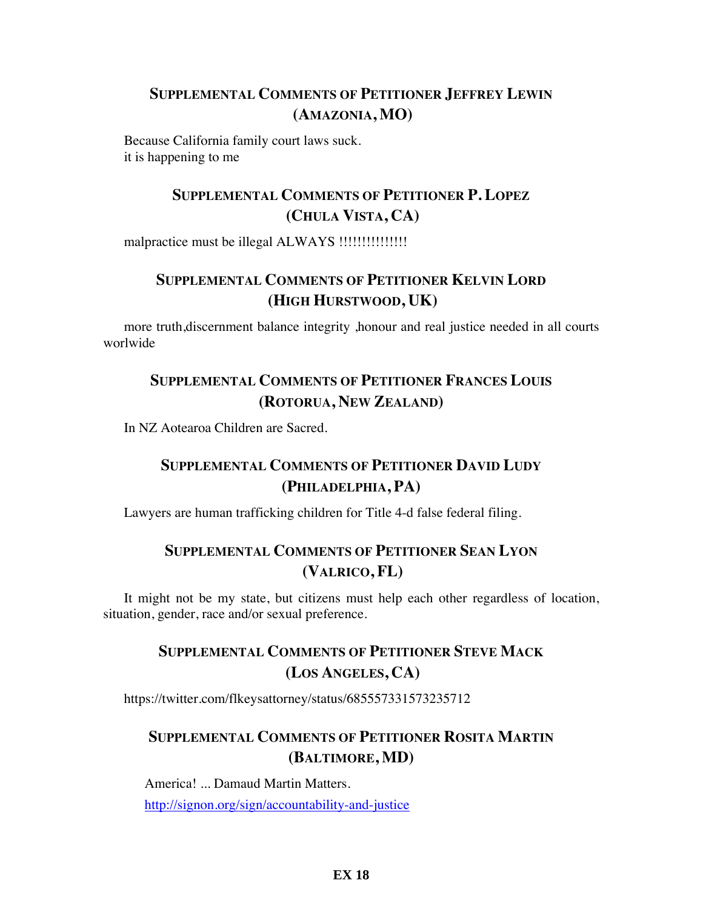### **SUPPLEMENTAL COMMENTS OF PETITIONER JEFFREY LEWIN (AMAZONIA, MO)**

Because California family court laws suck. it is happening to me

# **SUPPLEMENTAL COMMENTS OF PETITIONER P. LOPEZ (CHULA VISTA, CA)**

malpractice must be illegal ALWAYS !!!!!!!!!!!!!!!

# **SUPPLEMENTAL COMMENTS OF PETITIONER KELVIN LORD (HIGH HURSTWOOD, UK)**

more truth,discernment balance integrity ,honour and real justice needed in all courts worlwide

# **SUPPLEMENTAL COMMENTS OF PETITIONER FRANCES LOUIS (ROTORUA, NEW ZEALAND)**

In NZ Aotearoa Children are Sacred.

# **SUPPLEMENTAL COMMENTS OF PETITIONER DAVID LUDY (PHILADELPHIA, PA)**

Lawyers are human trafficking children for Title 4-d false federal filing.

#### **SUPPLEMENTAL COMMENTS OF PETITIONER SEAN LYON (VALRICO, FL)**

It might not be my state, but citizens must help each other regardless of location, situation, gender, race and/or sexual preference.

# **SUPPLEMENTAL COMMENTS OF PETITIONER STEVE MACK (LOS ANGELES, CA)**

https://twitter.com/flkeysattorney/status/685557331573235712

# **SUPPLEMENTAL COMMENTS OF PETITIONER ROSITA MARTIN (BALTIMORE, MD)**

America! ... Damaud Martin Matters. http://signon.org/sign/accountability-and-justice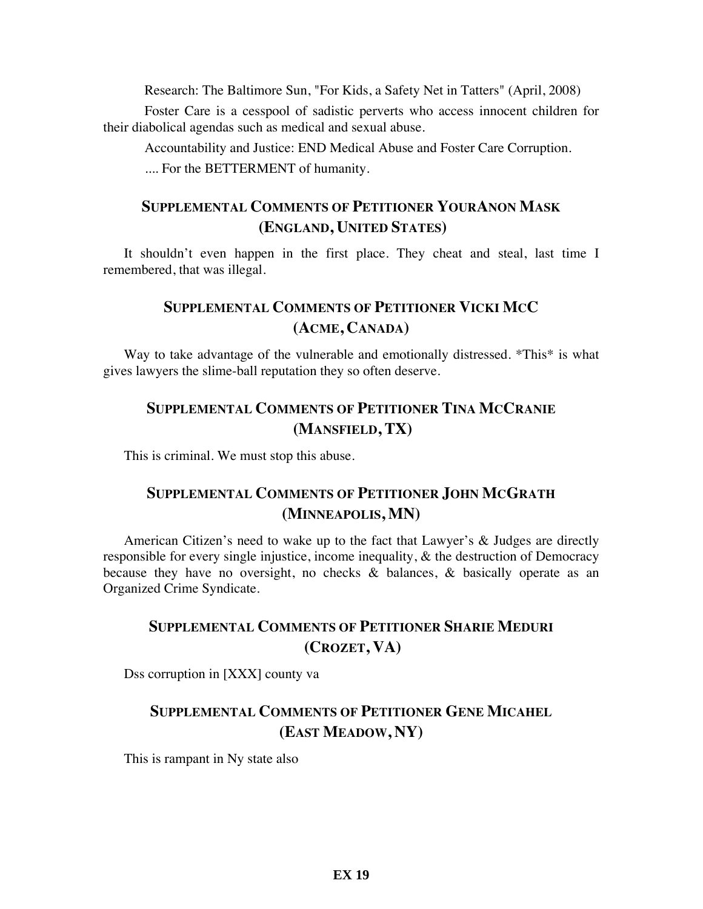Research: The Baltimore Sun, "For Kids, a Safety Net in Tatters" (April, 2008)

Foster Care is a cesspool of sadistic perverts who access innocent children for their diabolical agendas such as medical and sexual abuse.

Accountability and Justice: END Medical Abuse and Foster Care Corruption. .... For the BETTERMENT of humanity.

#### **SUPPLEMENTAL COMMENTS OF PETITIONER YOURANON MASK (ENGLAND, UNITED STATES)**

It shouldn't even happen in the first place. They cheat and steal, last time I remembered, that was illegal.

#### **SUPPLEMENTAL COMMENTS OF PETITIONER VICKI MCC (ACME, CANADA)**

Way to take advantage of the vulnerable and emotionally distressed. \*This\* is what gives lawyers the slime-ball reputation they so often deserve.

# **SUPPLEMENTAL COMMENTS OF PETITIONER TINA MCCRANIE (MANSFIELD, TX)**

This is criminal. We must stop this abuse.

### **SUPPLEMENTAL COMMENTS OF PETITIONER JOHN MCGRATH (MINNEAPOLIS, MN)**

American Citizen's need to wake up to the fact that Lawyer's & Judges are directly responsible for every single injustice, income inequality, & the destruction of Democracy because they have no oversight, no checks & balances, & basically operate as an Organized Crime Syndicate.

### **SUPPLEMENTAL COMMENTS OF PETITIONER SHARIE MEDURI (CROZET, VA)**

Dss corruption in [XXX] county va

# **SUPPLEMENTAL COMMENTS OF PETITIONER GENE MICAHEL (EAST MEADOW, NY)**

This is rampant in Ny state also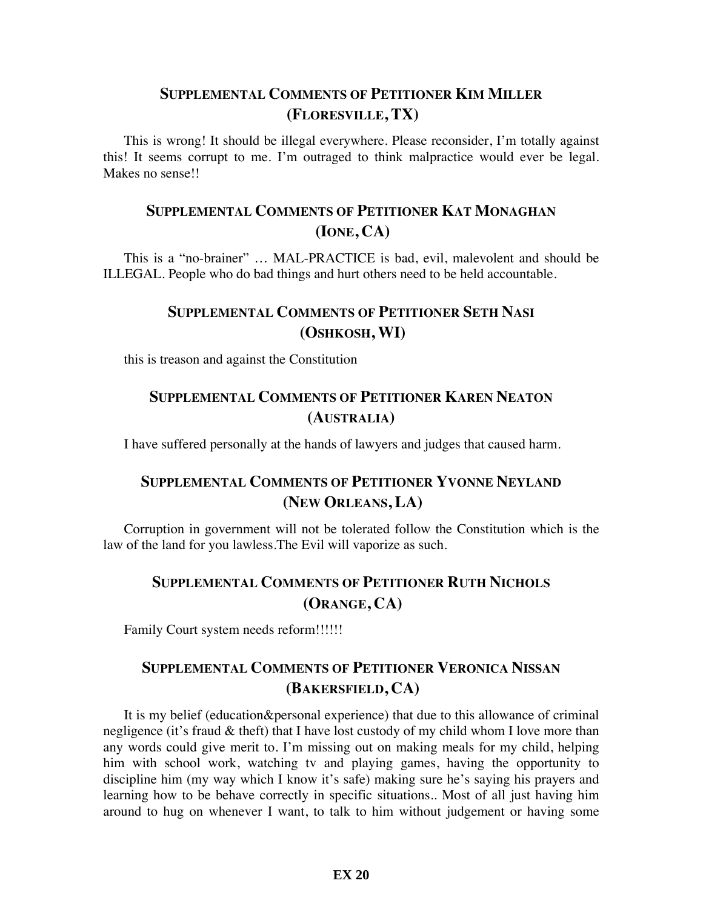#### **SUPPLEMENTAL COMMENTS OF PETITIONER KIM MILLER (FLORESVILLE, TX)**

This is wrong! It should be illegal everywhere. Please reconsider, I'm totally against this! It seems corrupt to me. I'm outraged to think malpractice would ever be legal. Makes no sense!!

# **SUPPLEMENTAL COMMENTS OF PETITIONER KAT MONAGHAN (IONE, CA)**

This is a "no-brainer" … MAL-PRACTICE is bad, evil, malevolent and should be ILLEGAL. People who do bad things and hurt others need to be held accountable.

### **SUPPLEMENTAL COMMENTS OF PETITIONER SETH NASI (OSHKOSH, WI)**

this is treason and against the Constitution

### **SUPPLEMENTAL COMMENTS OF PETITIONER KAREN NEATON (AUSTRALIA)**

I have suffered personally at the hands of lawyers and judges that caused harm.

### **SUPPLEMENTAL COMMENTS OF PETITIONER YVONNE NEYLAND (NEW ORLEANS, LA)**

Corruption in government will not be tolerated follow the Constitution which is the law of the land for you lawless.The Evil will vaporize as such.

# **SUPPLEMENTAL COMMENTS OF PETITIONER RUTH NICHOLS (ORANGE, CA)**

Family Court system needs reform!!!!!!

#### **SUPPLEMENTAL COMMENTS OF PETITIONER VERONICA NISSAN (BAKERSFIELD, CA)**

It is my belief (education&personal experience) that due to this allowance of criminal negligence (it's fraud & theft) that I have lost custody of my child whom I love more than any words could give merit to. I'm missing out on making meals for my child, helping him with school work, watching tv and playing games, having the opportunity to discipline him (my way which I know it's safe) making sure he's saying his prayers and learning how to be behave correctly in specific situations.. Most of all just having him around to hug on whenever I want, to talk to him without judgement or having some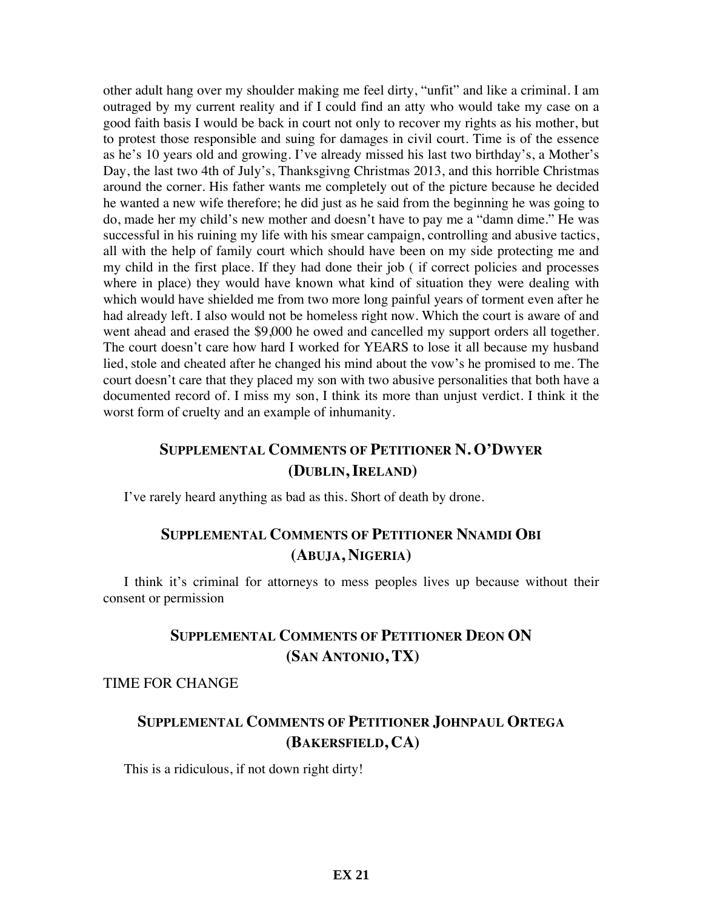other adult hang over my shoulder making me feel dirty, "unfit" and like a criminal. I am outraged by my current reality and if I could find an atty who would take my case on a good faith basis I would be back in court not only to recover my rights as his mother, but to protest those responsible and suing for damages in civil court. Time is of the essence as he's 10 years old and growing. I've already missed his last two birthday's, a Mother's Day, the last two 4th of July's, Thanksgivng Christmas 2013, and this horrible Christmas around the corner. His father wants me completely out of the picture because he decided he wanted a new wife therefore; he did just as he said from the beginning he was going to do, made her my child's new mother and doesn't have to pay me a "damn dime." He was successful in his ruining my life with his smear campaign, controlling and abusive tactics, all with the help of family court which should have been on my side protecting me and my child in the first place. If they had done their job ( if correct policies and processes where in place) they would have known what kind of situation they were dealing with which would have shielded me from two more long painful years of torment even after he had already left. I also would not be homeless right now. Which the court is aware of and went ahead and erased the \$9,000 he owed and cancelled my support orders all together. The court doesn't care how hard I worked for YEARS to lose it all because my husband lied, stole and cheated after he changed his mind about the vow's he promised to me. The court doesn't care that they placed my son with two abusive personalities that both have a documented record of. I miss my son, I think its more than unjust verdict. I think it the worst form of cruelty and an example of inhumanity.

### **SUPPLEMENTAL COMMENTS OF PETITIONER N. O'DWYER (DUBLIN, IRELAND)**

I've rarely heard anything as bad as this. Short of death by drone.

#### **SUPPLEMENTAL COMMENTS OF PETITIONER NNAMDI OBI (ABUJA, NIGERIA)**

I think it's criminal for attorneys to mess peoples lives up because without their consent or permission

# **SUPPLEMENTAL COMMENTS OF PETITIONER DEON ON (SAN ANTONIO, TX)**

#### TIME FOR CHANGE

#### **SUPPLEMENTAL COMMENTS OF PETITIONER JOHNPAUL ORTEGA (BAKERSFIELD, CA)**

This is a ridiculous, if not down right dirty!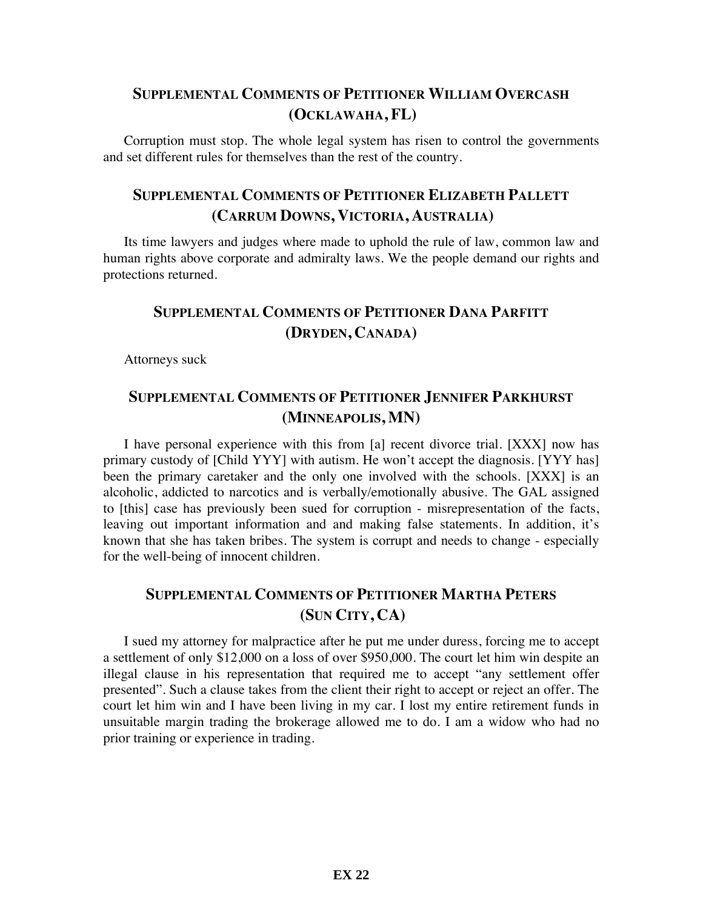### **SUPPLEMENTAL COMMENTS OF PETITIONER WILLIAM OVERCASH (OCKLAWAHA, FL)**

Corruption must stop. The whole legal system has risen to control the governments and set different rules for themselves than the rest of the country.

# **SUPPLEMENTAL COMMENTS OF PETITIONER ELIZABETH PALLETT (CARRUM DOWNS, VICTORIA, AUSTRALIA)**

Its time lawyers and judges where made to uphold the rule of law, common law and human rights above corporate and admiralty laws. We the people demand our rights and protections returned.

# **SUPPLEMENTAL COMMENTS OF PETITIONER DANA PARFITT (DRYDEN, CANADA)**

Attorneys suck

#### **SUPPLEMENTAL COMMENTS OF PETITIONER JENNIFER PARKHURST (MINNEAPOLIS, MN)**

I have personal experience with this from [a] recent divorce trial. [XXX] now has primary custody of [Child YYY] with autism. He won't accept the diagnosis. [YYY has] been the primary caretaker and the only one involved with the schools. [XXX] is an alcoholic, addicted to narcotics and is verbally/emotionally abusive. The GAL assigned to [this] case has previously been sued for corruption - misrepresentation of the facts, leaving out important information and and making false statements. In addition, it's known that she has taken bribes. The system is corrupt and needs to change - especially for the well-being of innocent children.

# **SUPPLEMENTAL COMMENTS OF PETITIONER MARTHA PETERS (SUN CITY, CA)**

I sued my attorney for malpractice after he put me under duress, forcing me to accept a settlement of only \$12,000 on a loss of over \$950,000. The court let him win despite an illegal clause in his representation that required me to accept "any settlement offer presented". Such a clause takes from the client their right to accept or reject an offer. The court let him win and I have been living in my car. I lost my entire retirement funds in unsuitable margin trading the brokerage allowed me to do. I am a widow who had no prior training or experience in trading.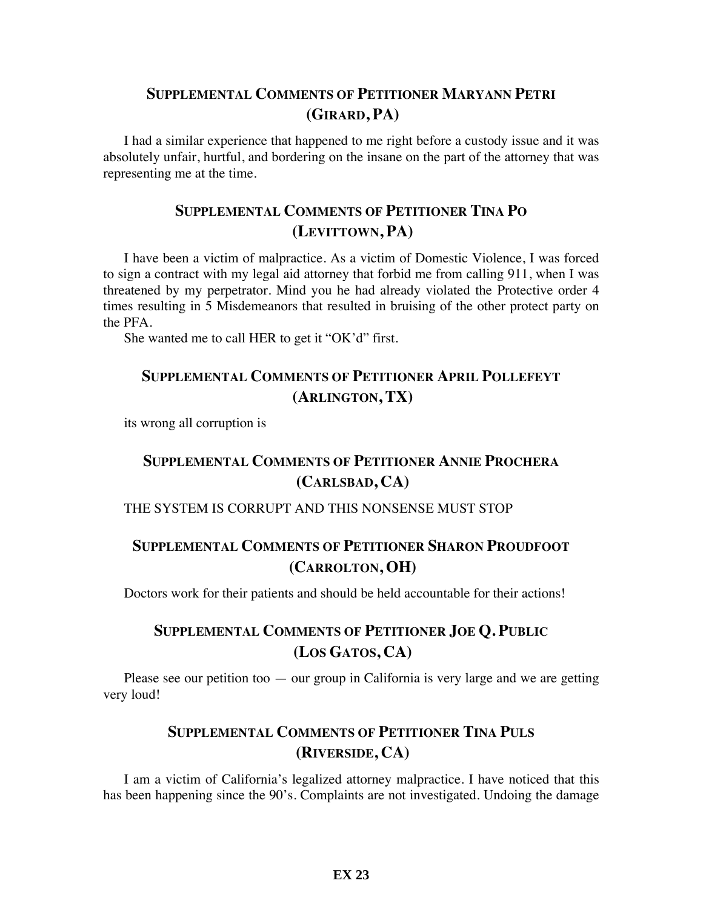#### **SUPPLEMENTAL COMMENTS OF PETITIONER MARYANN PETRI (GIRARD, PA)**

I had a similar experience that happened to me right before a custody issue and it was absolutely unfair, hurtful, and bordering on the insane on the part of the attorney that was representing me at the time.

## **SUPPLEMENTAL COMMENTS OF PETITIONER TINA PO (LEVITTOWN, PA)**

I have been a victim of malpractice. As a victim of Domestic Violence, I was forced to sign a contract with my legal aid attorney that forbid me from calling 911, when I was threatened by my perpetrator. Mind you he had already violated the Protective order 4 times resulting in 5 Misdemeanors that resulted in bruising of the other protect party on the PFA.

She wanted me to call HER to get it "OK'd" first.

### **SUPPLEMENTAL COMMENTS OF PETITIONER APRIL POLLEFEYT (ARLINGTON, TX)**

its wrong all corruption is

# **SUPPLEMENTAL COMMENTS OF PETITIONER ANNIE PROCHERA (CARLSBAD, CA)**

#### THE SYSTEM IS CORRUPT AND THIS NONSENSE MUST STOP

### **SUPPLEMENTAL COMMENTS OF PETITIONER SHARON PROUDFOOT (CARROLTON, OH)**

Doctors work for their patients and should be held accountable for their actions!

## **SUPPLEMENTAL COMMENTS OF PETITIONER JOE Q. PUBLIC (LOS GATOS, CA)**

Please see our petition too — our group in California is very large and we are getting very loud!

# **SUPPLEMENTAL COMMENTS OF PETITIONER TINA PULS (RIVERSIDE, CA)**

I am a victim of California's legalized attorney malpractice. I have noticed that this has been happening since the 90's. Complaints are not investigated. Undoing the damage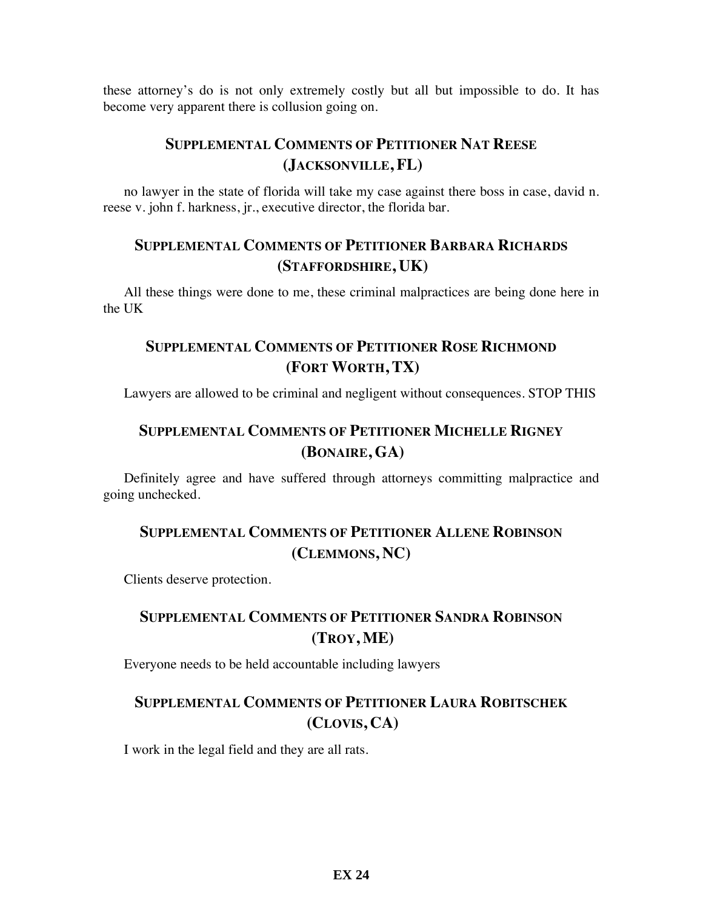these attorney's do is not only extremely costly but all but impossible to do. It has become very apparent there is collusion going on.

# **SUPPLEMENTAL COMMENTS OF PETITIONER NAT REESE (JACKSONVILLE, FL)**

no lawyer in the state of florida will take my case against there boss in case, david n. reese v. john f. harkness, jr., executive director, the florida bar.

#### **SUPPLEMENTAL COMMENTS OF PETITIONER BARBARA RICHARDS (STAFFORDSHIRE, UK)**

All these things were done to me, these criminal malpractices are being done here in the UK

# **SUPPLEMENTAL COMMENTS OF PETITIONER ROSE RICHMOND (FORT WORTH, TX)**

Lawyers are allowed to be criminal and negligent without consequences. STOP THIS

# **SUPPLEMENTAL COMMENTS OF PETITIONER MICHELLE RIGNEY (BONAIRE, GA)**

Definitely agree and have suffered through attorneys committing malpractice and going unchecked.

## **SUPPLEMENTAL COMMENTS OF PETITIONER ALLENE ROBINSON (CLEMMONS, NC)**

Clients deserve protection.

## **SUPPLEMENTAL COMMENTS OF PETITIONER SANDRA ROBINSON (TROY, ME)**

Everyone needs to be held accountable including lawyers

## **SUPPLEMENTAL COMMENTS OF PETITIONER LAURA ROBITSCHEK (CLOVIS, CA)**

I work in the legal field and they are all rats.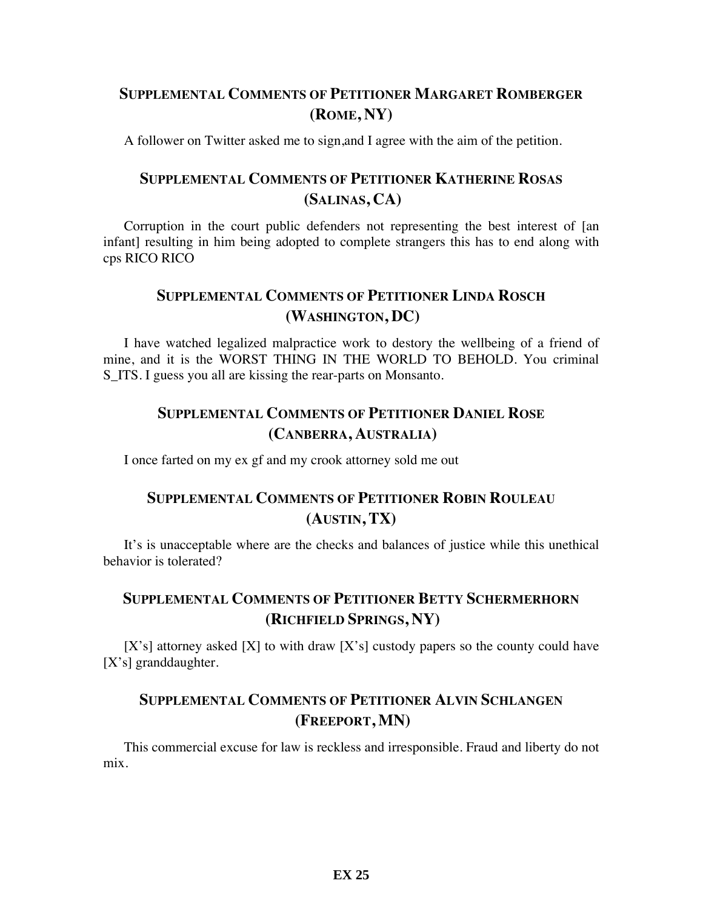### **SUPPLEMENTAL COMMENTS OF PETITIONER MARGARET ROMBERGER (ROME, NY)**

A follower on Twitter asked me to sign,and I agree with the aim of the petition.

## **SUPPLEMENTAL COMMENTS OF PETITIONER KATHERINE ROSAS (SALINAS, CA)**

Corruption in the court public defenders not representing the best interest of [an infant] resulting in him being adopted to complete strangers this has to end along with cps RICO RICO

#### **SUPPLEMENTAL COMMENTS OF PETITIONER LINDA ROSCH (WASHINGTON, DC)**

I have watched legalized malpractice work to destory the wellbeing of a friend of mine, and it is the WORST THING IN THE WORLD TO BEHOLD. You criminal S ITS. I guess you all are kissing the rear-parts on Monsanto.

#### **SUPPLEMENTAL COMMENTS OF PETITIONER DANIEL ROSE (CANBERRA, AUSTRALIA)**

I once farted on my ex gf and my crook attorney sold me out

# **SUPPLEMENTAL COMMENTS OF PETITIONER ROBIN ROULEAU (AUSTIN, TX)**

It's is unacceptable where are the checks and balances of justice while this unethical behavior is tolerated?

#### **SUPPLEMENTAL COMMENTS OF PETITIONER BETTY SCHERMERHORN (RICHFIELD SPRINGS, NY)**

 $[X's]$  attorney asked  $[X]$  to with draw  $[X's]$  custody papers so the county could have [X's] granddaughter.

#### **SUPPLEMENTAL COMMENTS OF PETITIONER ALVIN SCHLANGEN (FREEPORT, MN)**

This commercial excuse for law is reckless and irresponsible. Fraud and liberty do not mix.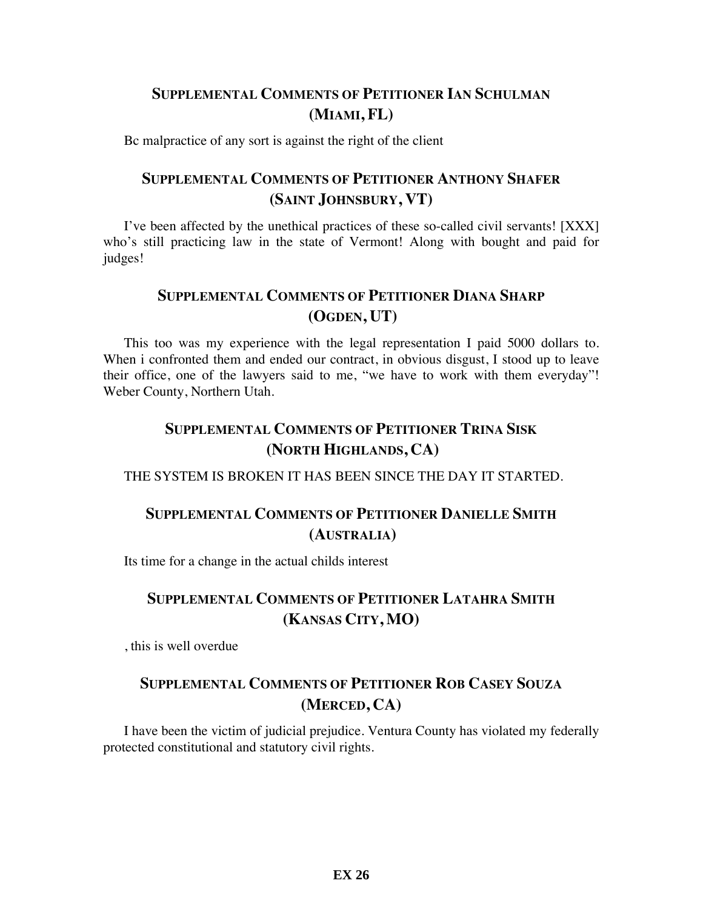### **SUPPLEMENTAL COMMENTS OF PETITIONER IAN SCHULMAN (MIAMI, FL)**

Bc malpractice of any sort is against the right of the client

#### **SUPPLEMENTAL COMMENTS OF PETITIONER ANTHONY SHAFER (SAINT JOHNSBURY, VT)**

I've been affected by the unethical practices of these so-called civil servants! [XXX] who's still practicing law in the state of Vermont! Along with bought and paid for judges!

# **SUPPLEMENTAL COMMENTS OF PETITIONER DIANA SHARP (OGDEN, UT)**

This too was my experience with the legal representation I paid 5000 dollars to. When i confronted them and ended our contract, in obvious disgust, I stood up to leave their office, one of the lawyers said to me, "we have to work with them everyday"! Weber County, Northern Utah.

# **SUPPLEMENTAL COMMENTS OF PETITIONER TRINA SISK (NORTH HIGHLANDS, CA)**

THE SYSTEM IS BROKEN IT HAS BEEN SINCE THE DAY IT STARTED.

# **SUPPLEMENTAL COMMENTS OF PETITIONER DANIELLE SMITH (AUSTRALIA)**

Its time for a change in the actual childs interest

# **SUPPLEMENTAL COMMENTS OF PETITIONER LATAHRA SMITH (KANSAS CITY, MO)**

, this is well overdue

# **SUPPLEMENTAL COMMENTS OF PETITIONER ROB CASEY SOUZA (MERCED, CA)**

I have been the victim of judicial prejudice. Ventura County has violated my federally protected constitutional and statutory civil rights.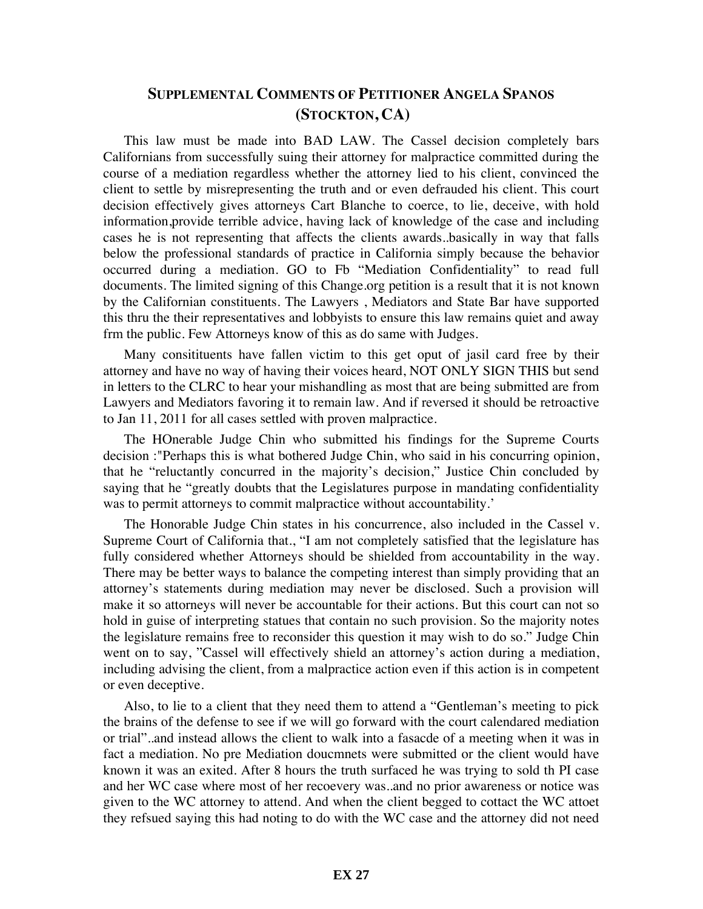#### **SUPPLEMENTAL COMMENTS OF PETITIONER ANGELA SPANOS (STOCKTON, CA)**

This law must be made into BAD LAW. The Cassel decision completely bars Californians from successfully suing their attorney for malpractice committed during the course of a mediation regardless whether the attorney lied to his client, convinced the client to settle by misrepresenting the truth and or even defrauded his client. This court decision effectively gives attorneys Cart Blanche to coerce, to lie, deceive, with hold information,provide terrible advice, having lack of knowledge of the case and including cases he is not representing that affects the clients awards..basically in way that falls below the professional standards of practice in California simply because the behavior occurred during a mediation. GO to Fb "Mediation Confidentiality" to read full documents. The limited signing of this Change.org petition is a result that it is not known by the Californian constituents. The Lawyers , Mediators and State Bar have supported this thru the their representatives and lobbyists to ensure this law remains quiet and away frm the public. Few Attorneys know of this as do same with Judges.

Many consitituents have fallen victim to this get oput of jasil card free by their attorney and have no way of having their voices heard, NOT ONLY SIGN THIS but send in letters to the CLRC to hear your mishandling as most that are being submitted are from Lawyers and Mediators favoring it to remain law. And if reversed it should be retroactive to Jan 11, 2011 for all cases settled with proven malpractice.

The HOnerable Judge Chin who submitted his findings for the Supreme Courts decision :"Perhaps this is what bothered Judge Chin, who said in his concurring opinion, that he "reluctantly concurred in the majority's decision," Justice Chin concluded by saying that he "greatly doubts that the Legislatures purpose in mandating confidentiality was to permit attorneys to commit malpractice without accountability.'

The Honorable Judge Chin states in his concurrence, also included in the Cassel v. Supreme Court of California that., "I am not completely satisfied that the legislature has fully considered whether Attorneys should be shielded from accountability in the way. There may be better ways to balance the competing interest than simply providing that an attorney's statements during mediation may never be disclosed. Such a provision will make it so attorneys will never be accountable for their actions. But this court can not so hold in guise of interpreting statues that contain no such provision. So the majority notes the legislature remains free to reconsider this question it may wish to do so." Judge Chin went on to say, "Cassel will effectively shield an attorney's action during a mediation, including advising the client, from a malpractice action even if this action is in competent or even deceptive.

Also, to lie to a client that they need them to attend a "Gentleman's meeting to pick the brains of the defense to see if we will go forward with the court calendared mediation or trial"..and instead allows the client to walk into a fasacde of a meeting when it was in fact a mediation. No pre Mediation doucmnets were submitted or the client would have known it was an exited. After 8 hours the truth surfaced he was trying to sold th PI case and her WC case where most of her recoevery was..and no prior awareness or notice was given to the WC attorney to attend. And when the client begged to cottact the WC attoet they refsued saying this had noting to do with the WC case and the attorney did not need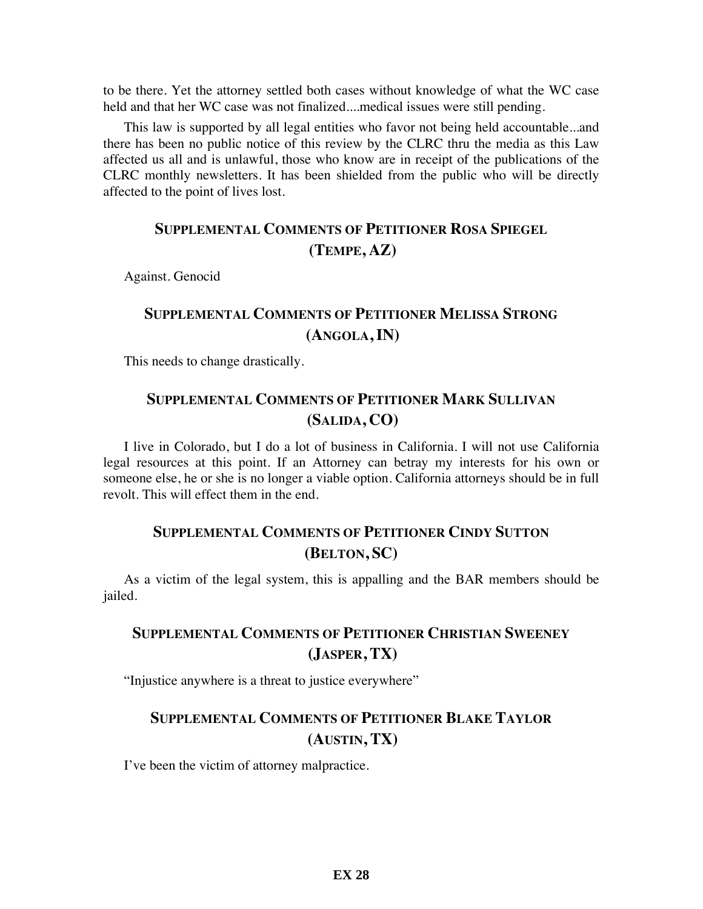to be there. Yet the attorney settled both cases without knowledge of what the WC case held and that her WC case was not finalized....medical issues were still pending.

This law is supported by all legal entities who favor not being held accountable...and there has been no public notice of this review by the CLRC thru the media as this Law affected us all and is unlawful, those who know are in receipt of the publications of the CLRC monthly newsletters. It has been shielded from the public who will be directly affected to the point of lives lost.

# **SUPPLEMENTAL COMMENTS OF PETITIONER ROSA SPIEGEL (TEMPE, AZ)**

Against. Genocid

# **SUPPLEMENTAL COMMENTS OF PETITIONER MELISSA STRONG (ANGOLA, IN)**

This needs to change drastically.

### **SUPPLEMENTAL COMMENTS OF PETITIONER MARK SULLIVAN (SALIDA, CO)**

I live in Colorado, but I do a lot of business in California. I will not use California legal resources at this point. If an Attorney can betray my interests for his own or someone else, he or she is no longer a viable option. California attorneys should be in full revolt. This will effect them in the end.

### **SUPPLEMENTAL COMMENTS OF PETITIONER CINDY SUTTON (BELTON, SC)**

As a victim of the legal system, this is appalling and the BAR members should be jailed.

### **SUPPLEMENTAL COMMENTS OF PETITIONER CHRISTIAN SWEENEY (JASPER, TX)**

"Injustice anywhere is a threat to justice everywhere"

### **SUPPLEMENTAL COMMENTS OF PETITIONER BLAKE TAYLOR (AUSTIN, TX)**

I've been the victim of attorney malpractice.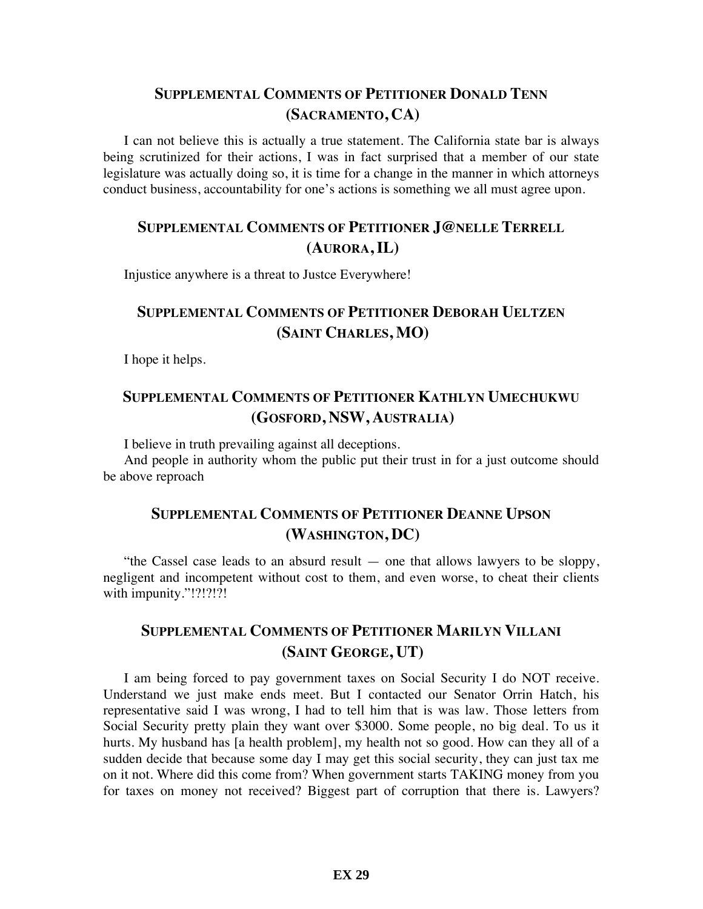#### **SUPPLEMENTAL COMMENTS OF PETITIONER DONALD TENN (SACRAMENTO, CA)**

I can not believe this is actually a true statement. The California state bar is always being scrutinized for their actions, I was in fact surprised that a member of our state legislature was actually doing so, it is time for a change in the manner in which attorneys conduct business, accountability for one's actions is something we all must agree upon.

#### **SUPPLEMENTAL COMMENTS OF PETITIONER J@NELLE TERRELL (AURORA, IL)**

Injustice anywhere is a threat to Justce Everywhere!

# **SUPPLEMENTAL COMMENTS OF PETITIONER DEBORAH UELTZEN (SAINT CHARLES, MO)**

I hope it helps.

### **SUPPLEMENTAL COMMENTS OF PETITIONER KATHLYN UMECHUKWU (GOSFORD, NSW, AUSTRALIA)**

I believe in truth prevailing against all deceptions.

And people in authority whom the public put their trust in for a just outcome should be above reproach

### **SUPPLEMENTAL COMMENTS OF PETITIONER DEANNE UPSON (WASHINGTON, DC)**

"the Cassel case leads to an absurd result — one that allows lawyers to be sloppy, negligent and incompetent without cost to them, and even worse, to cheat their clients with impunity."!?!?!?!

### **SUPPLEMENTAL COMMENTS OF PETITIONER MARILYN VILLANI (SAINT GEORGE, UT)**

I am being forced to pay government taxes on Social Security I do NOT receive. Understand we just make ends meet. But I contacted our Senator Orrin Hatch, his representative said I was wrong, I had to tell him that is was law. Those letters from Social Security pretty plain they want over \$3000. Some people, no big deal. To us it hurts. My husband has [a health problem], my health not so good. How can they all of a sudden decide that because some day I may get this social security, they can just tax me on it not. Where did this come from? When government starts TAKING money from you for taxes on money not received? Biggest part of corruption that there is. Lawyers?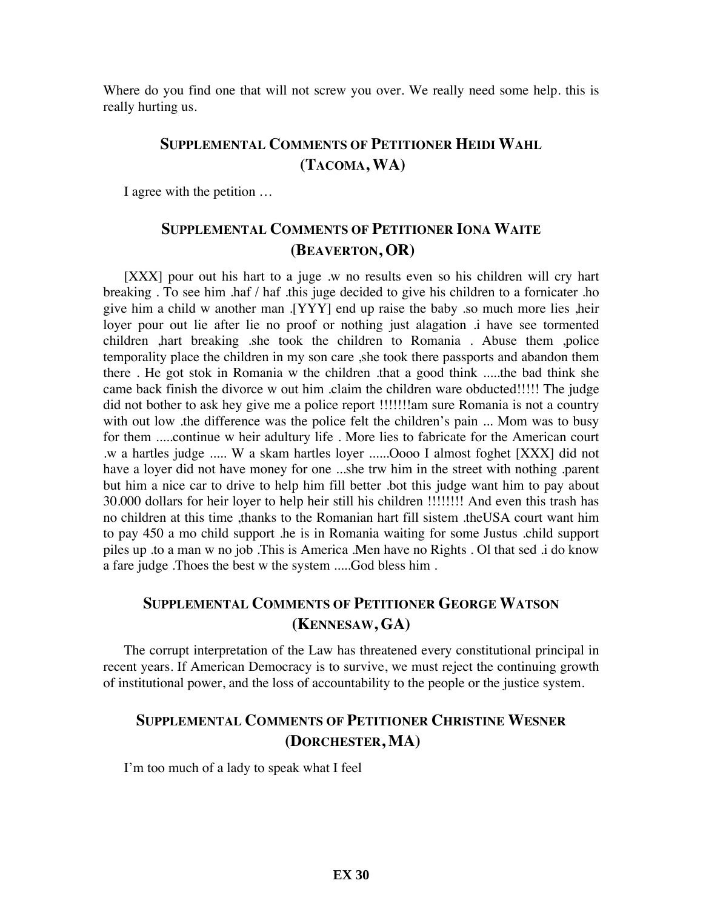Where do you find one that will not screw you over. We really need some help, this is really hurting us.

## **SUPPLEMENTAL COMMENTS OF PETITIONER HEIDI WAHL (TACOMA, WA)**

I agree with the petition …

# **SUPPLEMENTAL COMMENTS OF PETITIONER IONA WAITE (BEAVERTON, OR)**

[XXX] pour out his hart to a juge .w no results even so his children will cry hart breaking . To see him .haf / haf .this juge decided to give his children to a fornicater .ho give him a child w another man .[YYY] end up raise the baby .so much more lies ,heir loyer pour out lie after lie no proof or nothing just alagation .i have see tormented children ,hart breaking .she took the children to Romania . Abuse them ,police temporality place the children in my son care ,she took there passports and abandon them there . He got stok in Romania w the children .that a good think .....the bad think she came back finish the divorce w out him .claim the children ware obducted!!!!! The judge did not bother to ask hey give me a police report !!!!!!!!am sure Romania is not a country with out low .the difference was the police felt the children's pain ... Mom was to busy for them .....continue w heir adultury life . More lies to fabricate for the American court .w a hartles judge ..... W a skam hartles loyer ......Oooo I almost foghet [XXX] did not have a loyer did not have money for one ...she trw him in the street with nothing .parent but him a nice car to drive to help him fill better .bot this judge want him to pay about 30.000 dollars for heir loyer to help heir still his children !!!!!!!! And even this trash has no children at this time ,thanks to the Romanian hart fill sistem .theUSA court want him to pay 450 a mo child support .he is in Romania waiting for some Justus .child support piles up .to a man w no job .This is America .Men have no Rights . Ol that sed .i do know a fare judge .Thoes the best w the system .....God bless him .

### **SUPPLEMENTAL COMMENTS OF PETITIONER GEORGE WATSON (KENNESAW, GA)**

The corrupt interpretation of the Law has threatened every constitutional principal in recent years. If American Democracy is to survive, we must reject the continuing growth of institutional power, and the loss of accountability to the people or the justice system.

#### **SUPPLEMENTAL COMMENTS OF PETITIONER CHRISTINE WESNER (DORCHESTER, MA)**

I'm too much of a lady to speak what I feel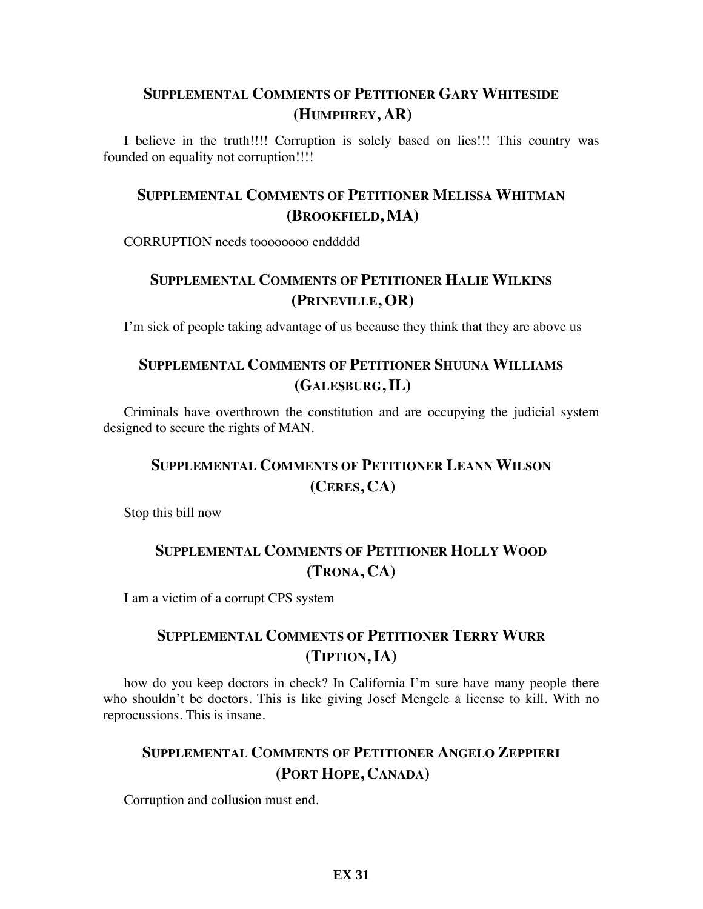### **SUPPLEMENTAL COMMENTS OF PETITIONER GARY WHITESIDE (HUMPHREY, AR)**

I believe in the truth!!!! Corruption is solely based on lies!!! This country was founded on equality not corruption!!!!

## **SUPPLEMENTAL COMMENTS OF PETITIONER MELISSA WHITMAN (BROOKFIELD, MA)**

CORRUPTION needs toooooooo enddddd

# **SUPPLEMENTAL COMMENTS OF PETITIONER HALIE WILKINS (PRINEVILLE, OR)**

I'm sick of people taking advantage of us because they think that they are above us

## **SUPPLEMENTAL COMMENTS OF PETITIONER SHUUNA WILLIAMS (GALESBURG, IL)**

Criminals have overthrown the constitution and are occupying the judicial system designed to secure the rights of MAN.

# **SUPPLEMENTAL COMMENTS OF PETITIONER LEANN WILSON (CERES, CA)**

Stop this bill now

# **SUPPLEMENTAL COMMENTS OF PETITIONER HOLLY WOOD (TRONA, CA)**

I am a victim of a corrupt CPS system

# **SUPPLEMENTAL COMMENTS OF PETITIONER TERRY WURR (TIPTION, IA)**

how do you keep doctors in check? In California I'm sure have many people there who shouldn't be doctors. This is like giving Josef Mengele a license to kill. With no reprocussions. This is insane.

## **SUPPLEMENTAL COMMENTS OF PETITIONER ANGELO ZEPPIERI (PORT HOPE, CANADA)**

Corruption and collusion must end.

#### **EX 31**